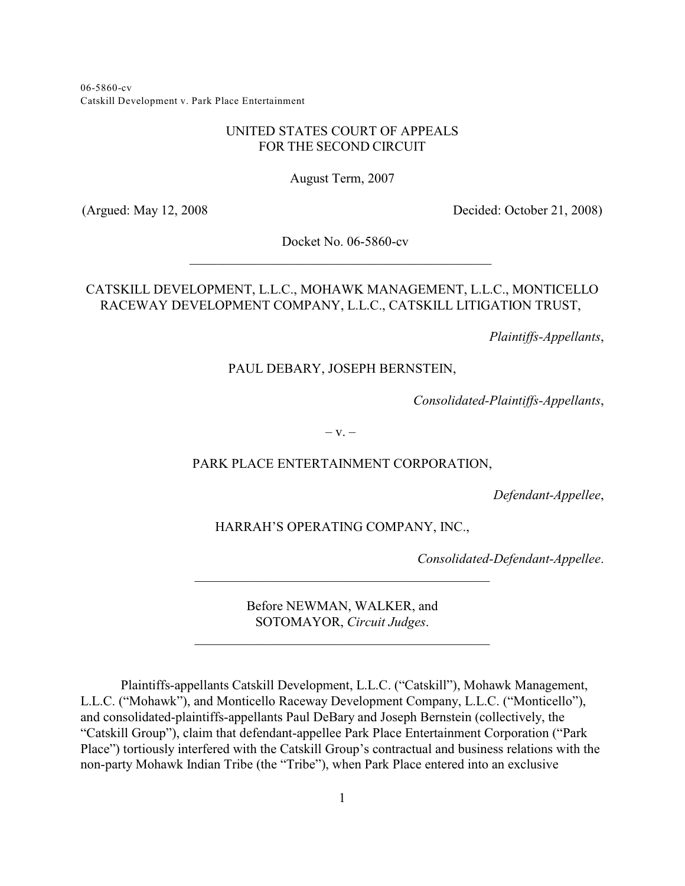06-5860-cv Catskill Development v. Park Place Entertainment

# UNITED STATES COURT OF APPEALS FOR THE SECOND CIRCUIT

August Term, 2007

(Argued: May 12, 2008 Decided: October 21, 2008)

Docket No. 06-5860-cv \_\_\_\_\_\_\_\_\_\_\_\_\_\_\_\_\_\_\_\_\_\_\_\_\_\_\_\_\_\_\_\_\_\_\_\_\_\_\_\_\_\_\_\_\_

# CATSKILL DEVELOPMENT, L.L.C., MOHAWK MANAGEMENT, L.L.C., MONTICELLO RACEWAY DEVELOPMENT COMPANY, L.L.C., CATSKILL LITIGATION TRUST,

*Plaintiffs-Appellants*,

## PAUL DEBARY, JOSEPH BERNSTEIN,

*Consolidated-Plaintiffs-Appellants*,

 $-V. -$ 

### PARK PLACE ENTERTAINMENT CORPORATION,

*Defendant-Appellee*,

HARRAH'S OPERATING COMPANY, INC.,

*Consolidated-Defendant-Appellee*.

Before NEWMAN, WALKER, and SOTOMAYOR, *Circuit Judges*.

 $\mathcal{L}_\mathcal{L}$  , and the set of the set of the set of the set of the set of the set of the set of the set of the set of the set of the set of the set of the set of the set of the set of the set of the set of the set of th

 $\mathcal{L}_\mathcal{L}$  , and the set of the set of the set of the set of the set of the set of the set of the set of the set of the set of the set of the set of the set of the set of the set of the set of the set of the set of th

Plaintiffs-appellants Catskill Development, L.L.C. ("Catskill"), Mohawk Management, L.L.C. ("Mohawk"), and Monticello Raceway Development Company, L.L.C. ("Monticello"), and consolidated-plaintiffs-appellants Paul DeBary and Joseph Bernstein (collectively, the "Catskill Group"), claim that defendant-appellee Park Place Entertainment Corporation ("Park Place") tortiously interfered with the Catskill Group's contractual and business relations with the non-party Mohawk Indian Tribe (the "Tribe"), when Park Place entered into an exclusive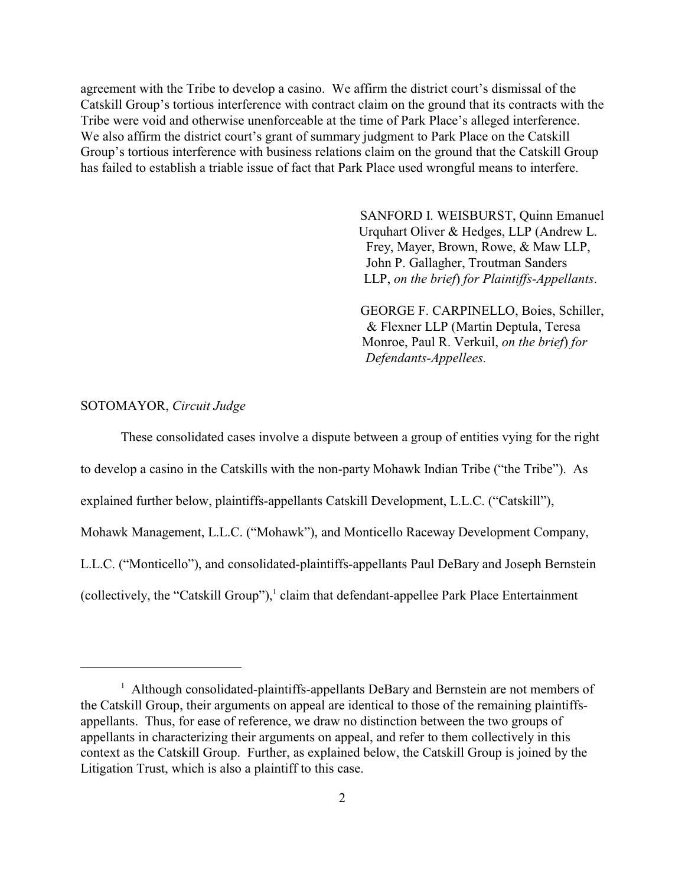agreement with the Tribe to develop a casino. We affirm the district court's dismissal of the Catskill Group's tortious interference with contract claim on the ground that its contracts with the Tribe were void and otherwise unenforceable at the time of Park Place's alleged interference. We also affirm the district court's grant of summary judgment to Park Place on the Catskill Group's tortious interference with business relations claim on the ground that the Catskill Group has failed to establish a triable issue of fact that Park Place used wrongful means to interfere.

> SANFORD I. WEISBURST, Quinn Emanuel Urquhart Oliver & Hedges, LLP (Andrew L. Frey, Mayer, Brown, Rowe, & Maw LLP, John P. Gallagher, Troutman Sanders LLP, *on the brief*) *for Plaintiffs-Appellants*.

> GEORGE F. CARPINELLO, Boies, Schiller, & Flexner LLP (Martin Deptula, Teresa Monroe, Paul R. Verkuil, *on the brief*) *for Defendants-Appellees.*

# SOTOMAYOR, *Circuit Judge*

These consolidated cases involve a dispute between a group of entities vying for the right to develop a casino in the Catskills with the non-party Mohawk Indian Tribe ("the Tribe"). As explained further below, plaintiffs-appellants Catskill Development, L.L.C. ("Catskill"), Mohawk Management, L.L.C. ("Mohawk"), and Monticello Raceway Development Company, L.L.C. ("Monticello"), and consolidated-plaintiffs-appellants Paul DeBary and Joseph Bernstein (collectively, the "Catskill Group"),<sup>1</sup> claim that defendant-appellee Park Place Entertainment

<sup>&</sup>lt;sup>1</sup> Although consolidated-plaintiffs-appellants DeBary and Bernstein are not members of the Catskill Group, their arguments on appeal are identical to those of the remaining plaintiffsappellants. Thus, for ease of reference, we draw no distinction between the two groups of appellants in characterizing their arguments on appeal, and refer to them collectively in this context as the Catskill Group. Further, as explained below, the Catskill Group is joined by the Litigation Trust, which is also a plaintiff to this case.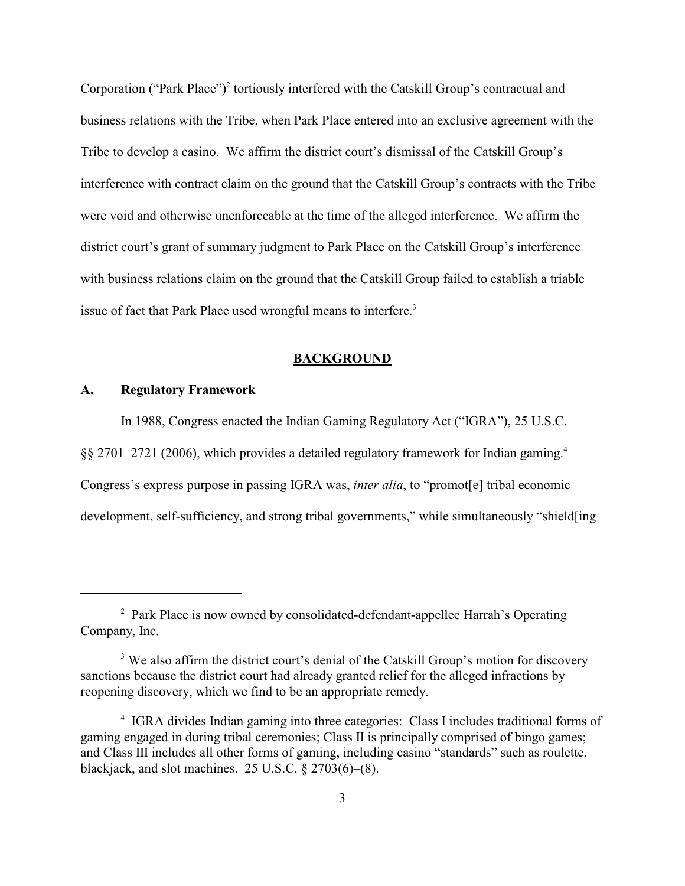Corporation ("Park Place")<sup>2</sup> tortiously interfered with the Catskill Group's contractual and business relations with the Tribe, when Park Place entered into an exclusive agreement with the Tribe to develop a casino. We affirm the district court's dismissal of the Catskill Group's interference with contract claim on the ground that the Catskill Group's contracts with the Tribe were void and otherwise unenforceable at the time of the alleged interference. We affirm the district court's grant of summary judgment to Park Place on the Catskill Group's interference with business relations claim on the ground that the Catskill Group failed to establish a triable issue of fact that Park Place used wrongful means to interfere.<sup>3</sup>

### **BACKGROUND**

### **A. Regulatory Framework**

In 1988, Congress enacted the Indian Gaming Regulatory Act ("IGRA"), 25 U.S.C.

§§ 2701–2721 (2006), which provides a detailed regulatory framework for Indian gaming.<sup>4</sup>

Congress's express purpose in passing IGRA was, *inter alia*, to "promot[e] tribal economic

development, self-sufficiency, and strong tribal governments," while simultaneously "shield[ing

<sup>&</sup>lt;sup>2</sup> Park Place is now owned by consolidated-defendant-appellee Harrah's Operating Company, Inc.

<sup>&</sup>lt;sup>3</sup> We also affirm the district court's denial of the Catskill Group's motion for discovery sanctions because the district court had already granted relief for the alleged infractions by reopening discovery, which we find to be an appropriate remedy.

<sup>&</sup>lt;sup>4</sup> IGRA divides Indian gaming into three categories: Class I includes traditional forms of gaming engaged in during tribal ceremonies; Class II is principally comprised of bingo games; and Class III includes all other forms of gaming, including casino "standards" such as roulette, blackjack, and slot machines. 25 U.S.C. § 2703(6)–(8).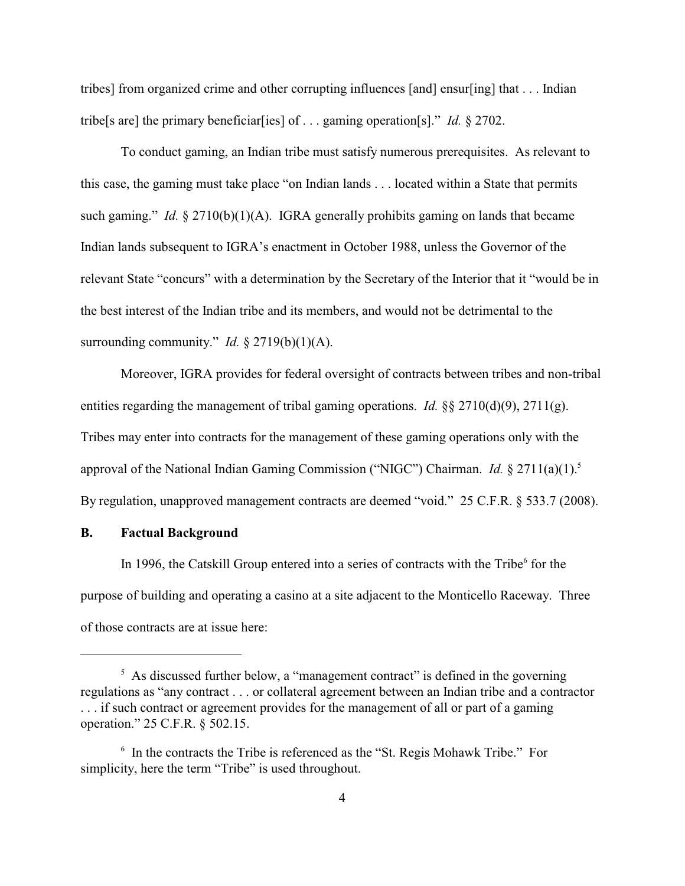tribes] from organized crime and other corrupting influences [and] ensur[ing] that . . . Indian tribe[s are] the primary beneficiar[ies] of . . . gaming operation[s]." *Id.* § 2702.

To conduct gaming, an Indian tribe must satisfy numerous prerequisites. As relevant to this case, the gaming must take place "on Indian lands . . . located within a State that permits such gaming." *Id.*  $\S 2710(b)(1)(A)$ . IGRA generally prohibits gaming on lands that became Indian lands subsequent to IGRA's enactment in October 1988, unless the Governor of the relevant State "concurs" with a determination by the Secretary of the Interior that it "would be in the best interest of the Indian tribe and its members, and would not be detrimental to the surrounding community." *Id.*  $\S$  2719(b)(1)(A).

Moreover, IGRA provides for federal oversight of contracts between tribes and non-tribal entities regarding the management of tribal gaming operations. *Id.* §§ 2710(d)(9), 2711(g). Tribes may enter into contracts for the management of these gaming operations only with the approval of the National Indian Gaming Commission ("NIGC") Chairman. *Id.* § 2711(a)(1).<sup>5</sup> By regulation, unapproved management contracts are deemed "void." 25 C.F.R. § 533.7 (2008).

#### **B. Factual Background**

In 1996, the Catskill Group entered into a series of contracts with the Tribe<sup>6</sup> for the purpose of building and operating a casino at a site adjacent to the Monticello Raceway. Three of those contracts are at issue here:

 $\frac{1}{2}$  As discussed further below, a "management contract" is defined in the governing regulations as "any contract . . . or collateral agreement between an Indian tribe and a contractor . . . if such contract or agreement provides for the management of all or part of a gaming operation." 25 C.F.R. § 502.15.

 $\delta$  In the contracts the Tribe is referenced as the "St. Regis Mohawk Tribe." For simplicity, here the term "Tribe" is used throughout.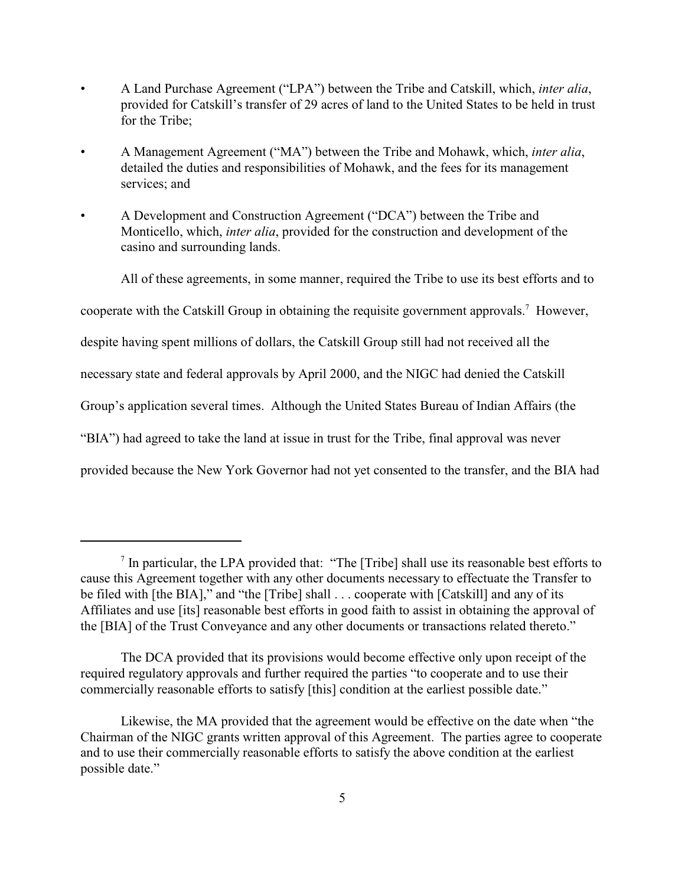- A Land Purchase Agreement ("LPA") between the Tribe and Catskill, which, *inter alia*, provided for Catskill's transfer of 29 acres of land to the United States to be held in trust for the Tribe;
- A Management Agreement ("MA") between the Tribe and Mohawk, which, *inter alia*, detailed the duties and responsibilities of Mohawk, and the fees for its management services; and
- A Development and Construction Agreement ("DCA") between the Tribe and Monticello, which, *inter alia*, provided for the construction and development of the casino and surrounding lands.

All of these agreements, in some manner, required the Tribe to use its best efforts and to cooperate with the Catskill Group in obtaining the requisite government approvals.<sup>7</sup> However, despite having spent millions of dollars, the Catskill Group still had not received all the necessary state and federal approvals by April 2000, and the NIGC had denied the Catskill Group's application several times. Although the United States Bureau of Indian Affairs (the "BIA") had agreed to take the land at issue in trust for the Tribe, final approval was never provided because the New York Governor had not yet consented to the transfer, and the BIA had

 $\alpha$  In particular, the LPA provided that: "The [Tribe] shall use its reasonable best efforts to cause this Agreement together with any other documents necessary to effectuate the Transfer to be filed with [the BIA]," and "the [Tribe] shall . . . cooperate with [Catskill] and any of its Affiliates and use [its] reasonable best efforts in good faith to assist in obtaining the approval of the [BIA] of the Trust Conveyance and any other documents or transactions related thereto."

The DCA provided that its provisions would become effective only upon receipt of the required regulatory approvals and further required the parties "to cooperate and to use their commercially reasonable efforts to satisfy [this] condition at the earliest possible date."

Likewise, the MA provided that the agreement would be effective on the date when "the Chairman of the NIGC grants written approval of this Agreement. The parties agree to cooperate and to use their commercially reasonable efforts to satisfy the above condition at the earliest possible date."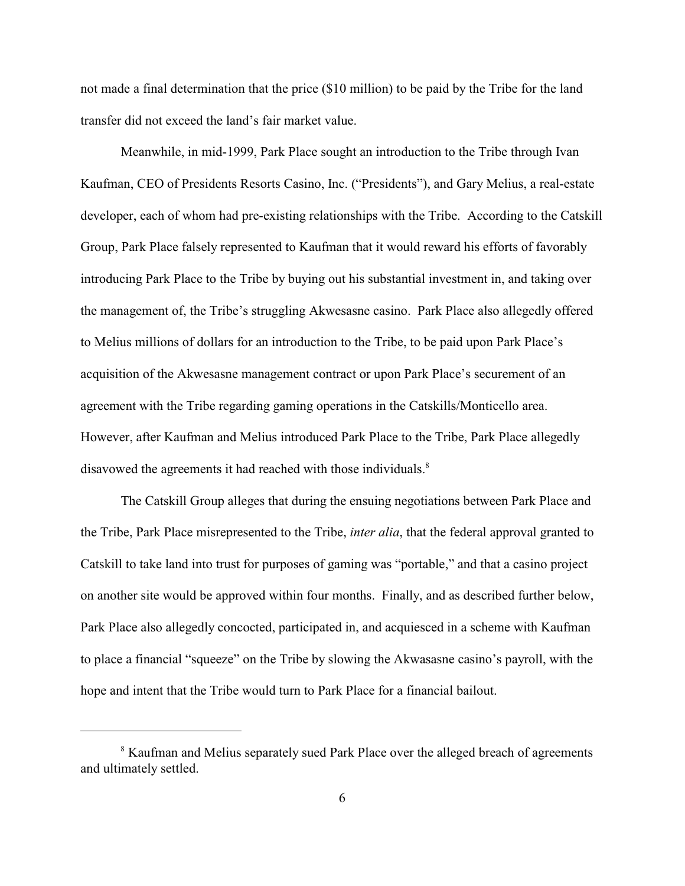not made a final determination that the price (\$10 million) to be paid by the Tribe for the land transfer did not exceed the land's fair market value.

Meanwhile, in mid-1999, Park Place sought an introduction to the Tribe through Ivan Kaufman, CEO of Presidents Resorts Casino, Inc. ("Presidents"), and Gary Melius, a real-estate developer, each of whom had pre-existing relationships with the Tribe. According to the Catskill Group, Park Place falsely represented to Kaufman that it would reward his efforts of favorably introducing Park Place to the Tribe by buying out his substantial investment in, and taking over the management of, the Tribe's struggling Akwesasne casino. Park Place also allegedly offered to Melius millions of dollars for an introduction to the Tribe, to be paid upon Park Place's acquisition of the Akwesasne management contract or upon Park Place's securement of an agreement with the Tribe regarding gaming operations in the Catskills/Monticello area. However, after Kaufman and Melius introduced Park Place to the Tribe, Park Place allegedly disavowed the agreements it had reached with those individuals.<sup>8</sup>

The Catskill Group alleges that during the ensuing negotiations between Park Place and the Tribe, Park Place misrepresented to the Tribe, *inter alia*, that the federal approval granted to Catskill to take land into trust for purposes of gaming was "portable," and that a casino project on another site would be approved within four months. Finally, and as described further below, Park Place also allegedly concocted, participated in, and acquiesced in a scheme with Kaufman to place a financial "squeeze" on the Tribe by slowing the Akwasasne casino's payroll, with the hope and intent that the Tribe would turn to Park Place for a financial bailout.

<sup>&</sup>lt;sup>8</sup> Kaufman and Melius separately sued Park Place over the alleged breach of agreements and ultimately settled.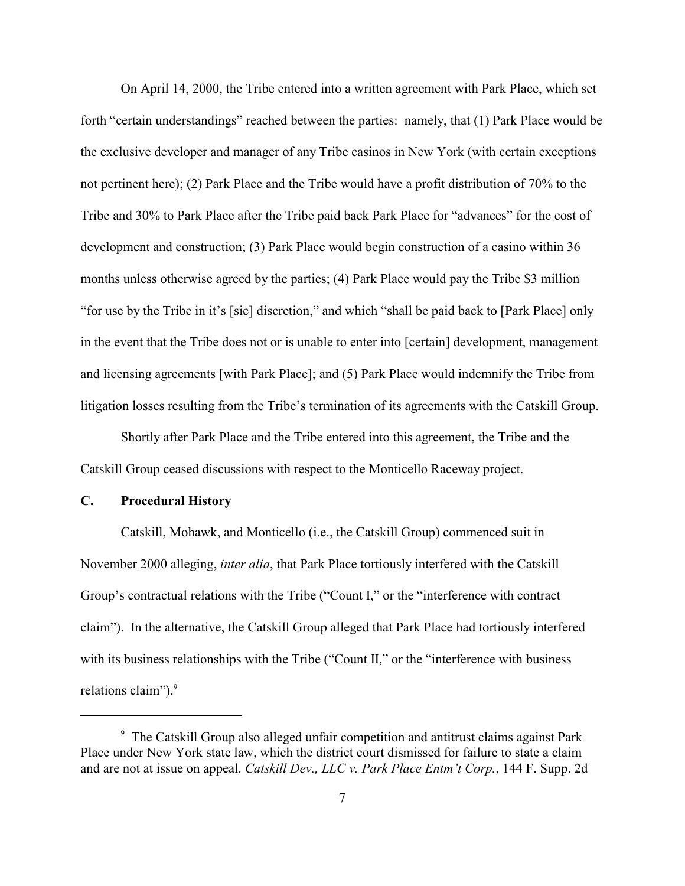On April 14, 2000, the Tribe entered into a written agreement with Park Place, which set forth "certain understandings" reached between the parties: namely, that (1) Park Place would be the exclusive developer and manager of any Tribe casinos in New York (with certain exceptions not pertinent here); (2) Park Place and the Tribe would have a profit distribution of 70% to the Tribe and 30% to Park Place after the Tribe paid back Park Place for "advances" for the cost of development and construction; (3) Park Place would begin construction of a casino within 36 months unless otherwise agreed by the parties; (4) Park Place would pay the Tribe \$3 million "for use by the Tribe in it's [sic] discretion," and which "shall be paid back to [Park Place] only in the event that the Tribe does not or is unable to enter into [certain] development, management and licensing agreements [with Park Place]; and (5) Park Place would indemnify the Tribe from litigation losses resulting from the Tribe's termination of its agreements with the Catskill Group.

Shortly after Park Place and the Tribe entered into this agreement, the Tribe and the Catskill Group ceased discussions with respect to the Monticello Raceway project.

# **C. Procedural History**

Catskill, Mohawk, and Monticello (i.e., the Catskill Group) commenced suit in November 2000 alleging, *inter alia*, that Park Place tortiously interfered with the Catskill Group's contractual relations with the Tribe ("Count I," or the "interference with contract claim"). In the alternative, the Catskill Group alleged that Park Place had tortiously interfered with its business relationships with the Tribe ("Count II," or the "interference with business relations claim").<sup>9</sup>

<sup>&</sup>lt;sup>9</sup> The Catskill Group also alleged unfair competition and antitrust claims against Park Place under New York state law, which the district court dismissed for failure to state a claim and are not at issue on appeal. *Catskill Dev., LLC v. Park Place Entm't Corp.*, 144 F. Supp. 2d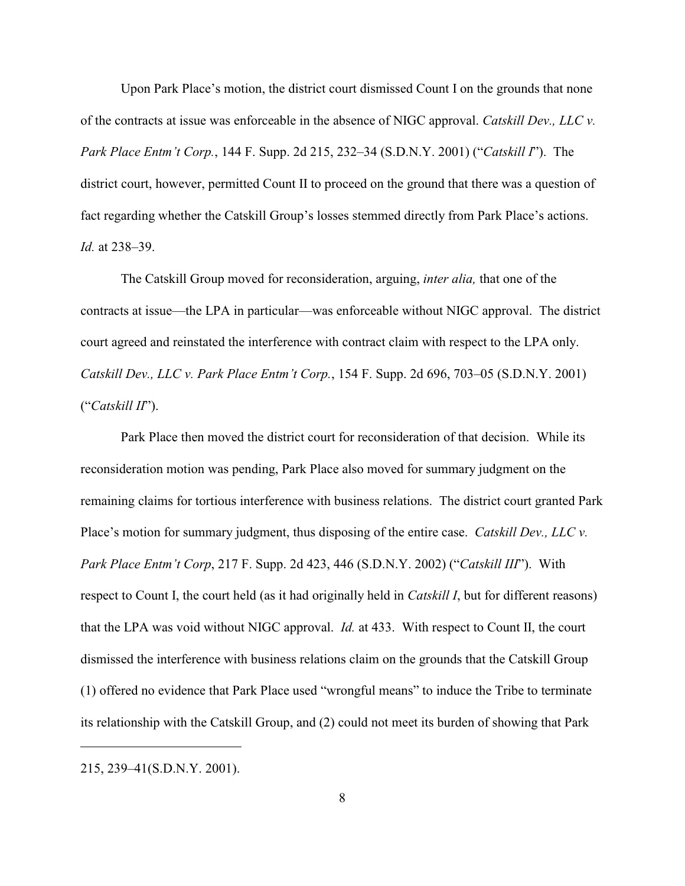Upon Park Place's motion, the district court dismissed Count I on the grounds that none of the contracts at issue was enforceable in the absence of NIGC approval. *Catskill Dev., LLC v. Park Place Entm't Corp.*, 144 F. Supp. 2d 215, 232–34 (S.D.N.Y. 2001) ("*Catskill I*"). The district court, however, permitted Count II to proceed on the ground that there was a question of fact regarding whether the Catskill Group's losses stemmed directly from Park Place's actions. *Id.* at 238–39.

The Catskill Group moved for reconsideration, arguing, *inter alia,* that one of the contracts at issue—the LPA in particular—was enforceable without NIGC approval. The district court agreed and reinstated the interference with contract claim with respect to the LPA only. *Catskill Dev., LLC v. Park Place Entm't Corp.*, 154 F. Supp. 2d 696, 703–05 (S.D.N.Y. 2001) ("*Catskill II*").

Park Place then moved the district court for reconsideration of that decision. While its reconsideration motion was pending, Park Place also moved for summary judgment on the remaining claims for tortious interference with business relations. The district court granted Park Place's motion for summary judgment, thus disposing of the entire case. *Catskill Dev., LLC v. Park Place Entm't Corp*, 217 F. Supp. 2d 423, 446 (S.D.N.Y. 2002) ("*Catskill III*"). With respect to Count I, the court held (as it had originally held in *Catskill I*, but for different reasons) that the LPA was void without NIGC approval. *Id.* at 433. With respect to Count II, the court dismissed the interference with business relations claim on the grounds that the Catskill Group (1) offered no evidence that Park Place used "wrongful means" to induce the Tribe to terminate its relationship with the Catskill Group, and (2) could not meet its burden of showing that Park

215, 239–41(S.D.N.Y. 2001).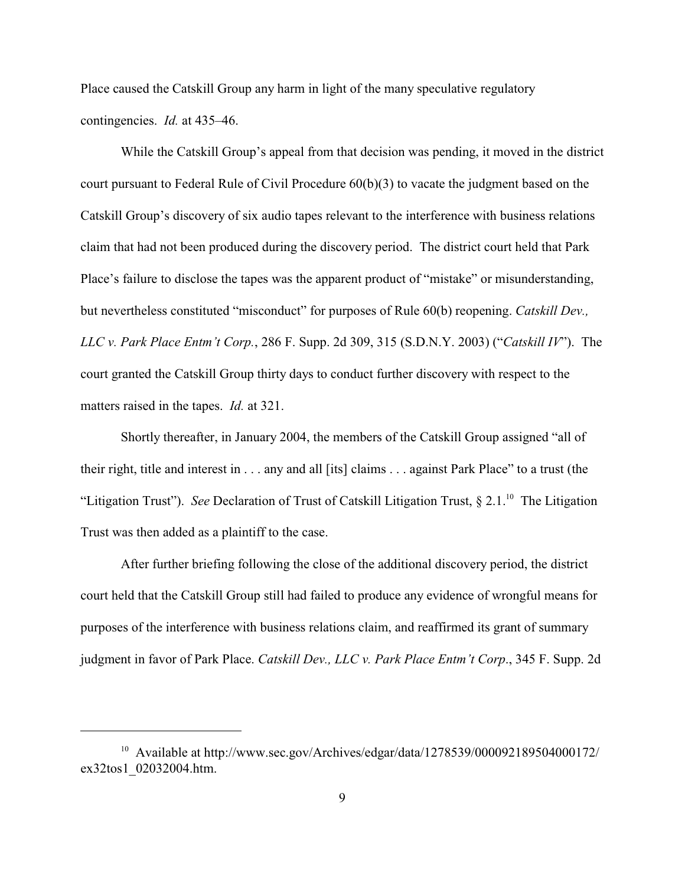Place caused the Catskill Group any harm in light of the many speculative regulatory contingencies. *Id.* at 435–46.

While the Catskill Group's appeal from that decision was pending, it moved in the district court pursuant to Federal Rule of Civil Procedure 60(b)(3) to vacate the judgment based on the Catskill Group's discovery of six audio tapes relevant to the interference with business relations claim that had not been produced during the discovery period. The district court held that Park Place's failure to disclose the tapes was the apparent product of "mistake" or misunderstanding, but nevertheless constituted "misconduct" for purposes of Rule 60(b) reopening. *Catskill Dev., LLC v. Park Place Entm't Corp.*, 286 F. Supp. 2d 309, 315 (S.D.N.Y. 2003) ("*Catskill IV*"). The court granted the Catskill Group thirty days to conduct further discovery with respect to the matters raised in the tapes. *Id.* at 321.

Shortly thereafter, in January 2004, the members of the Catskill Group assigned "all of their right, title and interest in . . . any and all [its] claims . . . against Park Place" to a trust (the "Litigation Trust"). *See* Declaration of Trust of Catskill Litigation Trust, § 2.1.<sup>10</sup> The Litigation Trust was then added as a plaintiff to the case.

After further briefing following the close of the additional discovery period, the district court held that the Catskill Group still had failed to produce any evidence of wrongful means for purposes of the interference with business relations claim, and reaffirmed its grant of summary judgment in favor of Park Place. *Catskill Dev., LLC v. Park Place Entm't Corp*., 345 F. Supp. 2d

 $10$  Available at http://www.sec.gov/Archives/edgar/data/1278539/000092189504000172/ ex32tos1\_02032004.htm.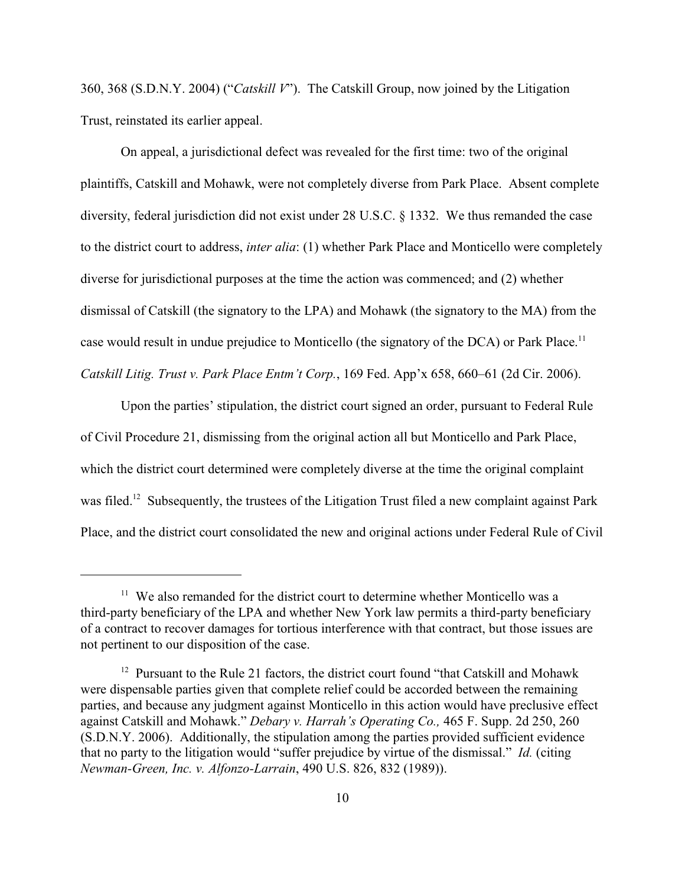360, 368 (S.D.N.Y. 2004) ("*Catskill V*"). The Catskill Group, now joined by the Litigation Trust, reinstated its earlier appeal.

On appeal, a jurisdictional defect was revealed for the first time: two of the original plaintiffs, Catskill and Mohawk, were not completely diverse from Park Place. Absent complete diversity, federal jurisdiction did not exist under 28 U.S.C. § 1332. We thus remanded the case to the district court to address, *inter alia*: (1) whether Park Place and Monticello were completely diverse for jurisdictional purposes at the time the action was commenced; and (2) whether dismissal of Catskill (the signatory to the LPA) and Mohawk (the signatory to the MA) from the case would result in undue prejudice to Monticello (the signatory of the DCA) or Park Place.<sup>11</sup> *Catskill Litig. Trust v. Park Place Entm't Corp.*, 169 Fed. App'x 658, 660–61 (2d Cir. 2006).

Upon the parties' stipulation, the district court signed an order, pursuant to Federal Rule of Civil Procedure 21, dismissing from the original action all but Monticello and Park Place, which the district court determined were completely diverse at the time the original complaint was filed.<sup>12</sup> Subsequently, the trustees of the Litigation Trust filed a new complaint against Park Place, and the district court consolidated the new and original actions under Federal Rule of Civil

 $11$  We also remanded for the district court to determine whether Monticello was a third-party beneficiary of the LPA and whether New York law permits a third-party beneficiary of a contract to recover damages for tortious interference with that contract, but those issues are not pertinent to our disposition of the case.

<sup>&</sup>lt;sup>12</sup> Pursuant to the Rule 21 factors, the district court found "that Catskill and Mohawk" were dispensable parties given that complete relief could be accorded between the remaining parties, and because any judgment against Monticello in this action would have preclusive effect against Catskill and Mohawk." *Debary v. Harrah's Operating Co.,* 465 F. Supp. 2d 250, 260 (S.D.N.Y. 2006). Additionally, the stipulation among the parties provided sufficient evidence that no party to the litigation would "suffer prejudice by virtue of the dismissal." *Id.* (citing *Newman-Green, Inc. v. Alfonzo-Larrain*, 490 U.S. 826, 832 (1989)).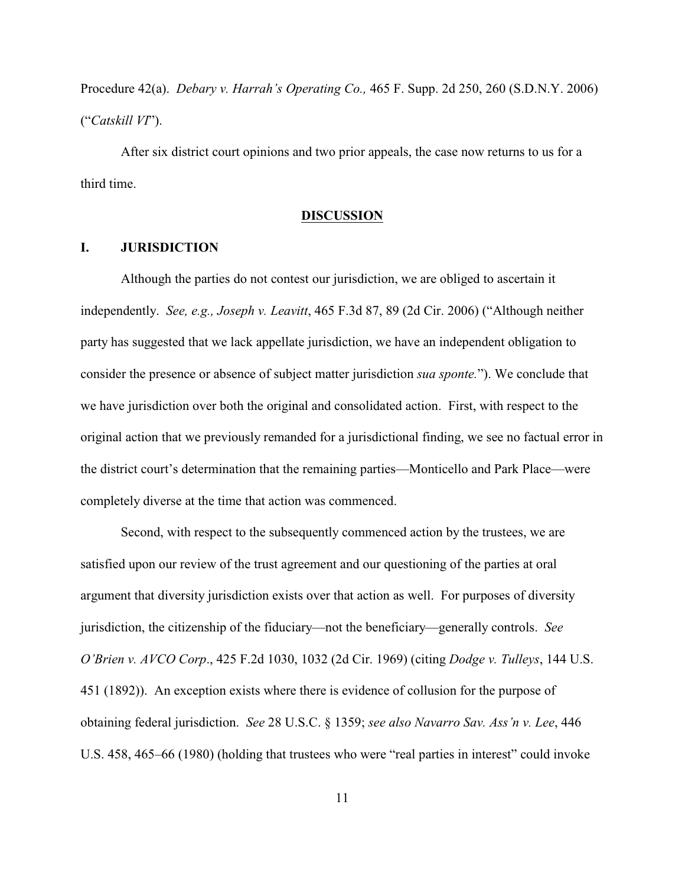Procedure 42(a). *Debary v. Harrah's Operating Co.,* 465 F. Supp. 2d 250, 260 (S.D.N.Y. 2006) ("*Catskill VI*").

After six district court opinions and two prior appeals, the case now returns to us for a third time.

### **DISCUSSION**

# **I. JURISDICTION**

Although the parties do not contest our jurisdiction, we are obliged to ascertain it independently. *See, e.g., Joseph v. Leavitt*, 465 F.3d 87, 89 (2d Cir. 2006) ("Although neither party has suggested that we lack appellate jurisdiction, we have an independent obligation to consider the presence or absence of subject matter jurisdiction *sua sponte.*"). We conclude that we have jurisdiction over both the original and consolidated action. First, with respect to the original action that we previously remanded for a jurisdictional finding, we see no factual error in the district court's determination that the remaining parties—Monticello and Park Place—were completely diverse at the time that action was commenced.

Second, with respect to the subsequently commenced action by the trustees, we are satisfied upon our review of the trust agreement and our questioning of the parties at oral argument that diversity jurisdiction exists over that action as well. For purposes of diversity jurisdiction, the citizenship of the fiduciary—not the beneficiary—generally controls. *See O'Brien v. AVCO Corp*., 425 F.2d 1030, 1032 (2d Cir. 1969) (citing *Dodge v. Tulleys*, 144 U.S. 451 (1892)). An exception exists where there is evidence of collusion for the purpose of obtaining federal jurisdiction. *See* 28 U.S.C. § 1359; *see also Navarro Sav. Ass'n v. Lee*, 446 U.S. 458, 465–66 (1980) (holding that trustees who were "real parties in interest" could invoke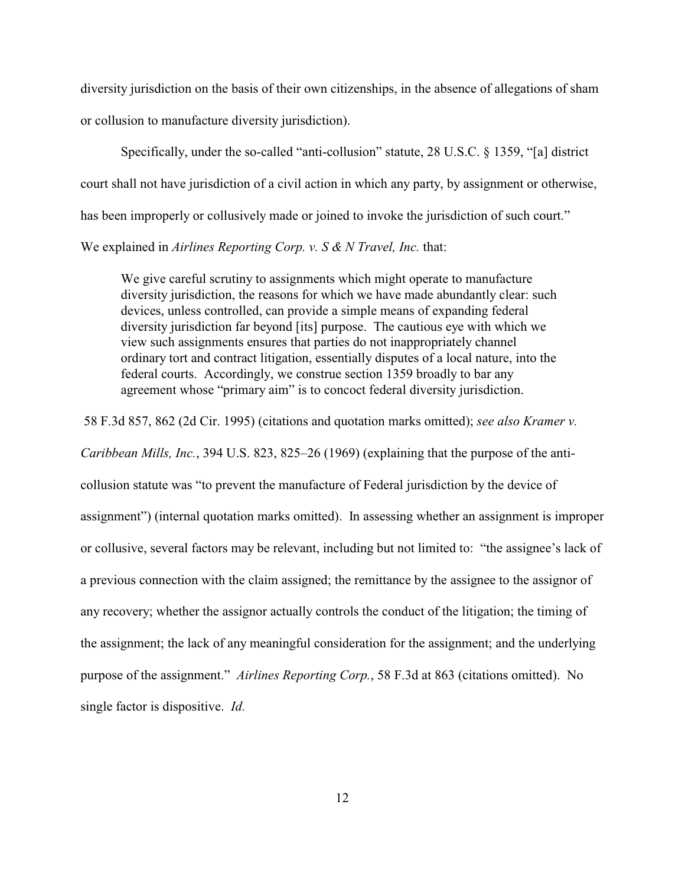diversity jurisdiction on the basis of their own citizenships, in the absence of allegations of sham or collusion to manufacture diversity jurisdiction).

Specifically, under the so-called "anti-collusion" statute, 28 U.S.C. § 1359, "[a] district court shall not have jurisdiction of a civil action in which any party, by assignment or otherwise, has been improperly or collusively made or joined to invoke the jurisdiction of such court." We explained in *Airlines Reporting Corp. v. S & N Travel, Inc.* that:

We give careful scrutiny to assignments which might operate to manufacture diversity jurisdiction, the reasons for which we have made abundantly clear: such devices, unless controlled, can provide a simple means of expanding federal diversity jurisdiction far beyond [its] purpose. The cautious eye with which we view such assignments ensures that parties do not inappropriately channel ordinary tort and contract litigation, essentially disputes of a local nature, into the federal courts. Accordingly, we construe section 1359 broadly to bar any agreement whose "primary aim" is to concoct federal diversity jurisdiction.

58 F.3d 857, 862 (2d Cir. 1995) (citations and quotation marks omitted); *see also Kramer v.*

*Caribbean Mills, Inc.*, 394 U.S. 823, 825–26 (1969) (explaining that the purpose of the anti-

collusion statute was "to prevent the manufacture of Federal jurisdiction by the device of assignment") (internal quotation marks omitted). In assessing whether an assignment is improper or collusive, several factors may be relevant, including but not limited to: "the assignee's lack of a previous connection with the claim assigned; the remittance by the assignee to the assignor of any recovery; whether the assignor actually controls the conduct of the litigation; the timing of the assignment; the lack of any meaningful consideration for the assignment; and the underlying purpose of the assignment." *Airlines Reporting Corp.*, 58 F.3d at 863 (citations omitted). No single factor is dispositive. *Id.*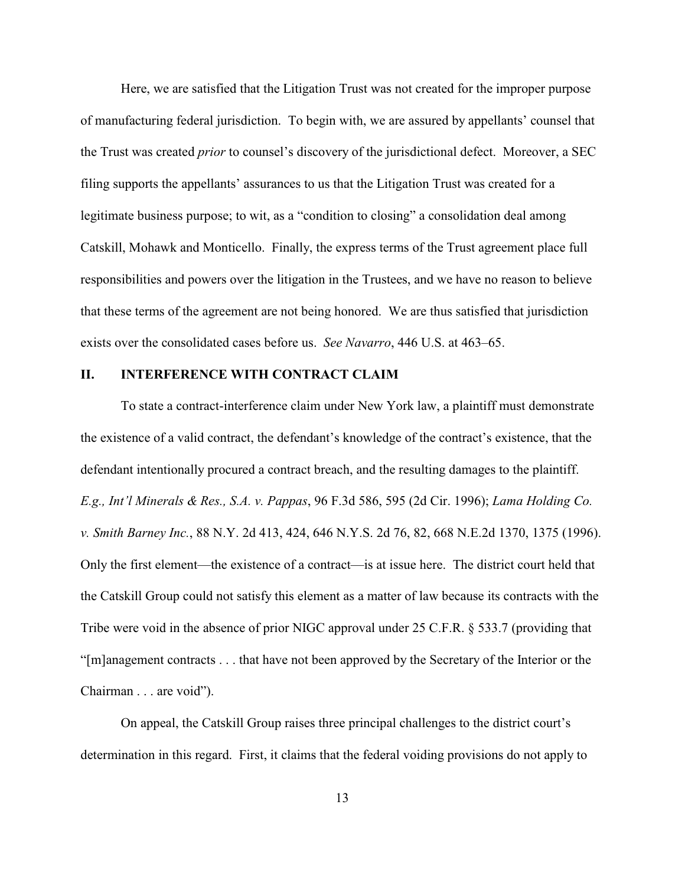Here, we are satisfied that the Litigation Trust was not created for the improper purpose of manufacturing federal jurisdiction. To begin with, we are assured by appellants' counsel that the Trust was created *prior* to counsel's discovery of the jurisdictional defect. Moreover, a SEC filing supports the appellants' assurances to us that the Litigation Trust was created for a legitimate business purpose; to wit, as a "condition to closing" a consolidation deal among Catskill, Mohawk and Monticello. Finally, the express terms of the Trust agreement place full responsibilities and powers over the litigation in the Trustees, and we have no reason to believe that these terms of the agreement are not being honored. We are thus satisfied that jurisdiction exists over the consolidated cases before us. *See Navarro*, 446 U.S. at 463–65.

#### **II. INTERFERENCE WITH CONTRACT CLAIM**

To state a contract-interference claim under New York law, a plaintiff must demonstrate the existence of a valid contract, the defendant's knowledge of the contract's existence, that the defendant intentionally procured a contract breach, and the resulting damages to the plaintiff. *E.g., Int'l Minerals & Res., S.A. v. Pappas*, 96 F.3d 586, 595 (2d Cir. 1996); *Lama Holding Co. v. Smith Barney Inc.*, 88 N.Y. 2d 413, 424, 646 N.Y.S. 2d 76, 82, 668 N.E.2d 1370, 1375 (1996). Only the first element—the existence of a contract—is at issue here. The district court held that the Catskill Group could not satisfy this element as a matter of law because its contracts with the Tribe were void in the absence of prior NIGC approval under 25 C.F.R. § 533.7 (providing that "[m]anagement contracts . . . that have not been approved by the Secretary of the Interior or the Chairman . . . are void").

On appeal, the Catskill Group raises three principal challenges to the district court's determination in this regard. First, it claims that the federal voiding provisions do not apply to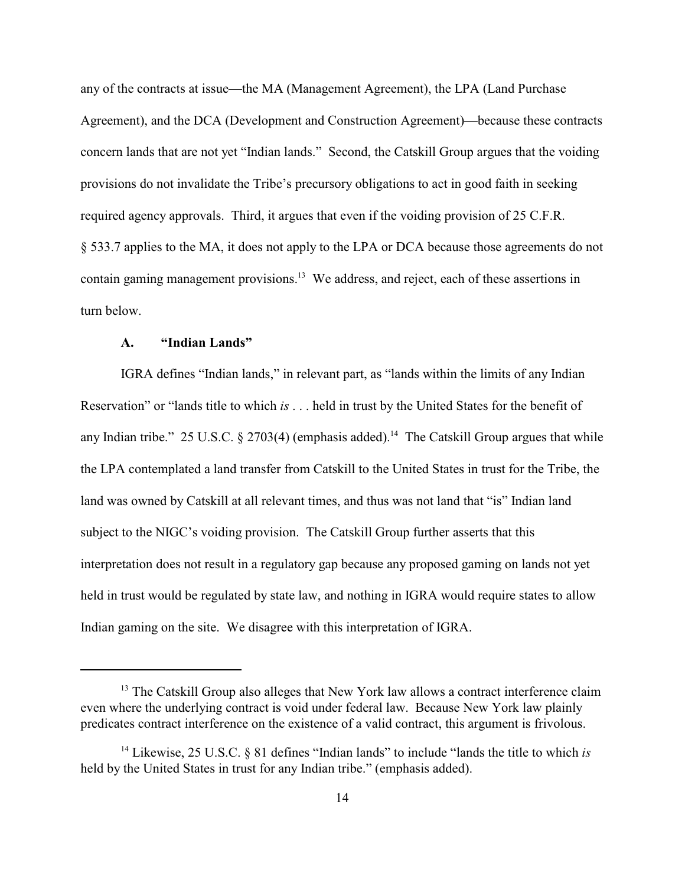any of the contracts at issue—the MA (Management Agreement), the LPA (Land Purchase Agreement), and the DCA (Development and Construction Agreement)—because these contracts concern lands that are not yet "Indian lands." Second, the Catskill Group argues that the voiding provisions do not invalidate the Tribe's precursory obligations to act in good faith in seeking required agency approvals. Third, it argues that even if the voiding provision of 25 C.F.R. § 533.7 applies to the MA, it does not apply to the LPA or DCA because those agreements do not contain gaming management provisions.<sup>13</sup> We address, and reject, each of these assertions in turn below.

## **A. "Indian Lands"**

IGRA defines "Indian lands," in relevant part, as "lands within the limits of any Indian Reservation" or "lands title to which *is* . . . held in trust by the United States for the benefit of any Indian tribe." 25 U.S.C. § 2703(4) (emphasis added).<sup>14</sup> The Catskill Group argues that while the LPA contemplated a land transfer from Catskill to the United States in trust for the Tribe, the land was owned by Catskill at all relevant times, and thus was not land that "is" Indian land subject to the NIGC's voiding provision. The Catskill Group further asserts that this interpretation does not result in a regulatory gap because any proposed gaming on lands not yet held in trust would be regulated by state law, and nothing in IGRA would require states to allow Indian gaming on the site. We disagree with this interpretation of IGRA.

 $13$  The Catskill Group also alleges that New York law allows a contract interference claim even where the underlying contract is void under federal law. Because New York law plainly predicates contract interference on the existence of a valid contract, this argument is frivolous.

<sup>&</sup>lt;sup>14</sup> Likewise, 25 U.S.C.  $\&$  81 defines "Indian lands" to include "lands the title to which *is* held by the United States in trust for any Indian tribe." (emphasis added).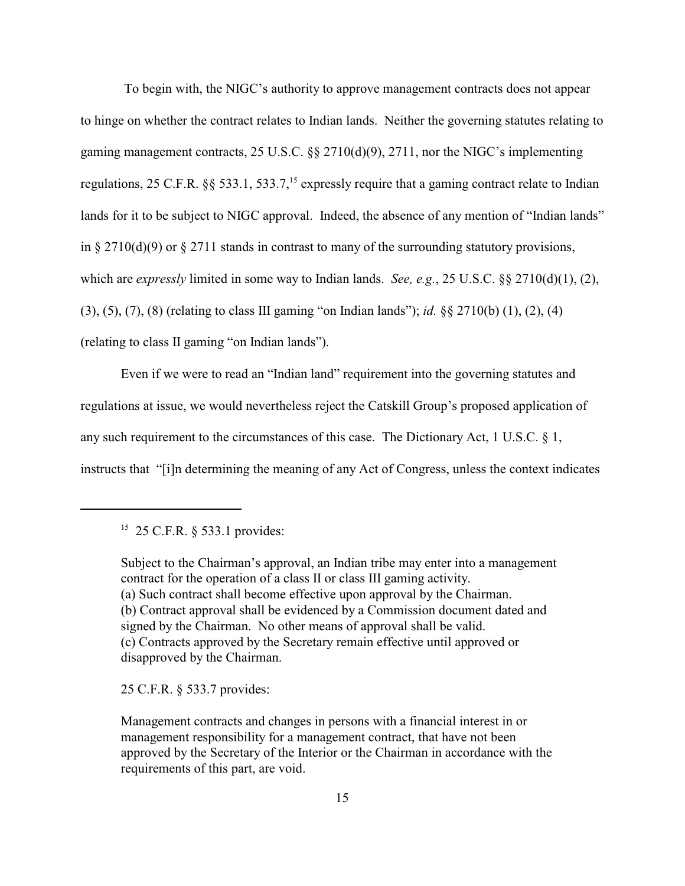To begin with, the NIGC's authority to approve management contracts does not appear to hinge on whether the contract relates to Indian lands. Neither the governing statutes relating to gaming management contracts, 25 U.S.C. §§ 2710(d)(9), 2711, nor the NIGC's implementing regulations, 25 C.F.R. §§ 533.1, 533.7,<sup>15</sup> expressly require that a gaming contract relate to Indian lands for it to be subject to NIGC approval. Indeed, the absence of any mention of "Indian lands" in § 2710(d)(9) or § 2711 stands in contrast to many of the surrounding statutory provisions, which are *expressly* limited in some way to Indian lands. *See, e.g.*, 25 U.S.C. §§ 2710(d)(1), (2), (3), (5), (7), (8) (relating to class III gaming "on Indian lands"); *id.* §§ 2710(b) (1), (2), (4) (relating to class II gaming "on Indian lands").

Even if we were to read an "Indian land" requirement into the governing statutes and regulations at issue, we would nevertheless reject the Catskill Group's proposed application of any such requirement to the circumstances of this case. The Dictionary Act, 1 U.S.C. § 1, instructs that "[i]n determining the meaning of any Act of Congress, unless the context indicates

25 C.F.R. § 533.7 provides:

Management contracts and changes in persons with a financial interest in or management responsibility for a management contract, that have not been approved by the Secretary of the Interior or the Chairman in accordance with the requirements of this part, are void.

 $15$  25 C.F.R. § 533.1 provides:

Subject to the Chairman's approval, an Indian tribe may enter into a management contract for the operation of a class II or class III gaming activity. (a) Such contract shall become effective upon approval by the Chairman. (b) Contract approval shall be evidenced by a Commission document dated and signed by the Chairman. No other means of approval shall be valid. (c) Contracts approved by the Secretary remain effective until approved or disapproved by the Chairman.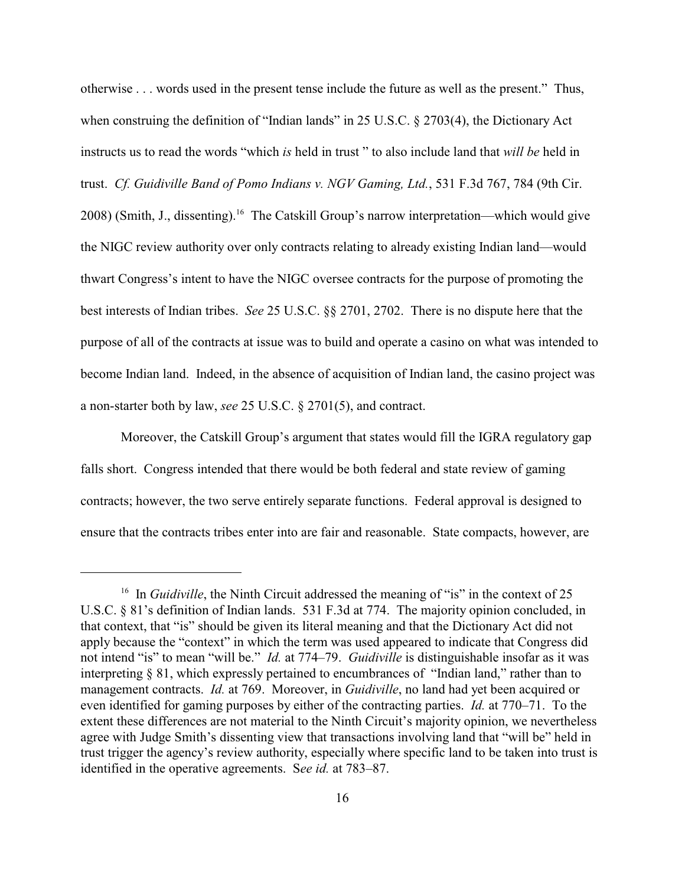otherwise . . . words used in the present tense include the future as well as the present." Thus, when construing the definition of "Indian lands" in 25 U.S.C. § 2703(4), the Dictionary Act instructs us to read the words "which *is* held in trust " to also include land that *will be* held in trust. *Cf. Guidiville Band of Pomo Indians v. NGV Gaming, Ltd.*, 531 F.3d 767, 784 (9th Cir. 2008) (Smith, J., dissenting).<sup>16</sup> The Catskill Group's narrow interpretation—which would give the NIGC review authority over only contracts relating to already existing Indian land—would thwart Congress's intent to have the NIGC oversee contracts for the purpose of promoting the best interests of Indian tribes. *See* 25 U.S.C. §§ 2701, 2702. There is no dispute here that the purpose of all of the contracts at issue was to build and operate a casino on what was intended to become Indian land. Indeed, in the absence of acquisition of Indian land, the casino project was a non-starter both by law, *see* 25 U.S.C. § 2701(5), and contract.

Moreover, the Catskill Group's argument that states would fill the IGRA regulatory gap falls short. Congress intended that there would be both federal and state review of gaming contracts; however, the two serve entirely separate functions. Federal approval is designed to ensure that the contracts tribes enter into are fair and reasonable. State compacts, however, are

<sup>&</sup>lt;sup>16</sup> In *Guidiville*, the Ninth Circuit addressed the meaning of "is" in the context of 25 U.S.C. § 81's definition of Indian lands. 531 F.3d at 774. The majority opinion concluded, in that context, that "is" should be given its literal meaning and that the Dictionary Act did not apply because the "context" in which the term was used appeared to indicate that Congress did not intend "is" to mean "will be." *Id.* at 774–79. *Guidiville* is distinguishable insofar as it was interpreting § 81, which expressly pertained to encumbrances of "Indian land," rather than to management contracts. *Id.* at 769. Moreover, in *Guidiville*, no land had yet been acquired or even identified for gaming purposes by either of the contracting parties. *Id.* at 770–71. To the extent these differences are not material to the Ninth Circuit's majority opinion, we nevertheless agree with Judge Smith's dissenting view that transactions involving land that "will be" held in trust trigger the agency's review authority, especially where specific land to be taken into trust is identified in the operative agreements. S*ee id.* at 783–87.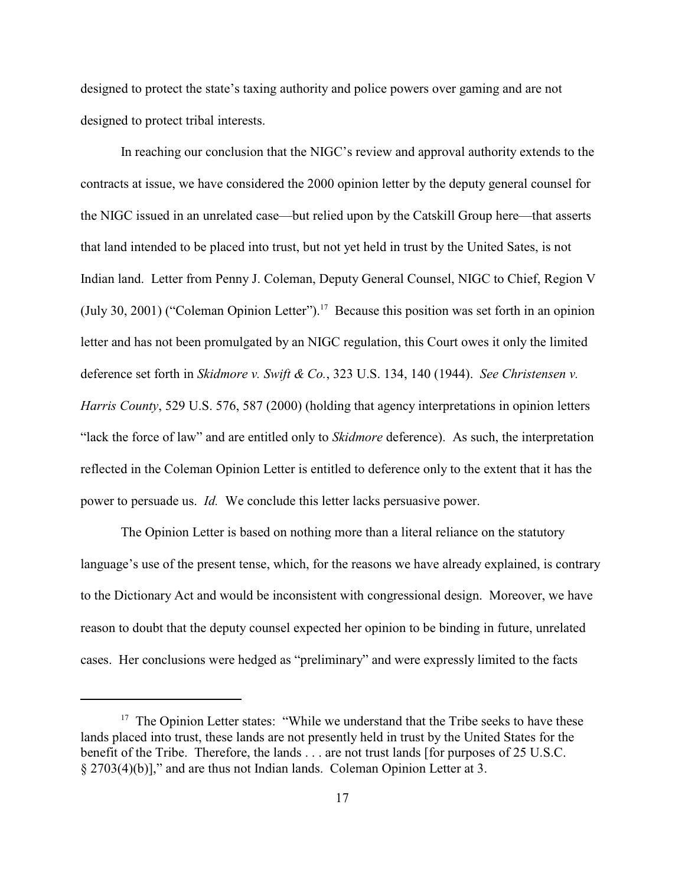designed to protect the state's taxing authority and police powers over gaming and are not designed to protect tribal interests.

In reaching our conclusion that the NIGC's review and approval authority extends to the contracts at issue, we have considered the 2000 opinion letter by the deputy general counsel for the NIGC issued in an unrelated case—but relied upon by the Catskill Group here—that asserts that land intended to be placed into trust, but not yet held in trust by the United Sates, is not Indian land. Letter from Penny J. Coleman, Deputy General Counsel, NIGC to Chief, Region V (July 30, 2001) ("Coleman Opinion Letter").<sup>17</sup> Because this position was set forth in an opinion letter and has not been promulgated by an NIGC regulation, this Court owes it only the limited deference set forth in *Skidmore v. Swift & Co.*, 323 U.S. 134, 140 (1944). *See Christensen v. Harris County*, 529 U.S. 576, 587 (2000) (holding that agency interpretations in opinion letters "lack the force of law" and are entitled only to *Skidmore* deference). As such, the interpretation reflected in the Coleman Opinion Letter is entitled to deference only to the extent that it has the power to persuade us. *Id.* We conclude this letter lacks persuasive power.

The Opinion Letter is based on nothing more than a literal reliance on the statutory language's use of the present tense, which, for the reasons we have already explained, is contrary to the Dictionary Act and would be inconsistent with congressional design. Moreover, we have reason to doubt that the deputy counsel expected her opinion to be binding in future, unrelated cases. Her conclusions were hedged as "preliminary" and were expressly limited to the facts

 $17$  The Opinion Letter states: "While we understand that the Tribe seeks to have these lands placed into trust, these lands are not presently held in trust by the United States for the benefit of the Tribe. Therefore, the lands . . . are not trust lands [for purposes of 25 U.S.C. § 2703(4)(b)]," and are thus not Indian lands. Coleman Opinion Letter at 3.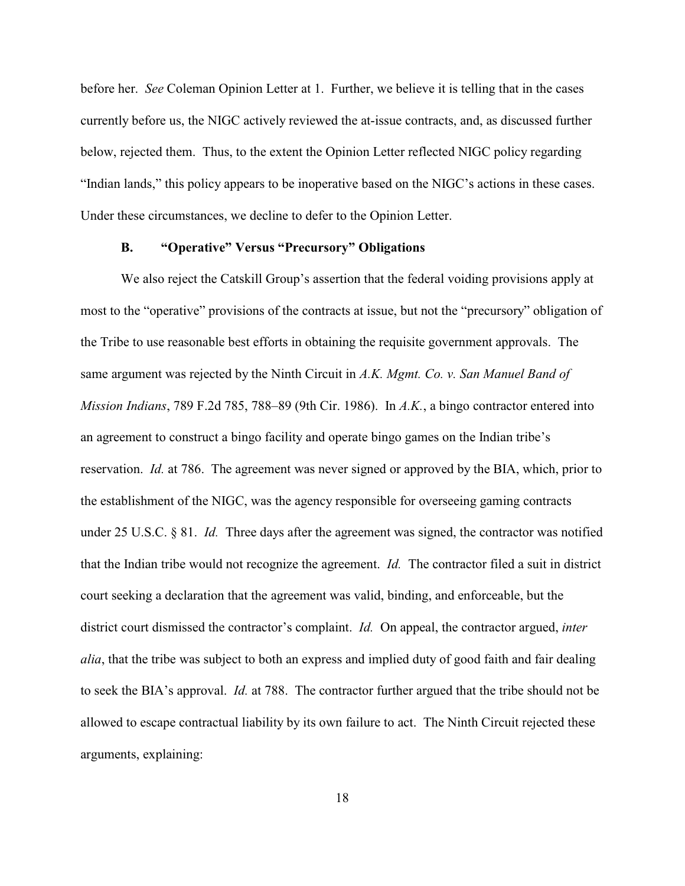before her. *See* Coleman Opinion Letter at 1. Further, we believe it is telling that in the cases currently before us, the NIGC actively reviewed the at-issue contracts, and, as discussed further below, rejected them. Thus, to the extent the Opinion Letter reflected NIGC policy regarding "Indian lands," this policy appears to be inoperative based on the NIGC's actions in these cases. Under these circumstances, we decline to defer to the Opinion Letter.

## **B. "Operative" Versus "Precursory" Obligations**

We also reject the Catskill Group's assertion that the federal voiding provisions apply at most to the "operative" provisions of the contracts at issue, but not the "precursory" obligation of the Tribe to use reasonable best efforts in obtaining the requisite government approvals. The same argument was rejected by the Ninth Circuit in *A.K. Mgmt. Co. v. San Manuel Band of Mission Indians*, 789 F.2d 785, 788–89 (9th Cir. 1986). In *A.K.*, a bingo contractor entered into an agreement to construct a bingo facility and operate bingo games on the Indian tribe's reservation. *Id.* at 786. The agreement was never signed or approved by the BIA, which, prior to the establishment of the NIGC, was the agency responsible for overseeing gaming contracts under 25 U.S.C. § 81. *Id.* Three days after the agreement was signed, the contractor was notified that the Indian tribe would not recognize the agreement. *Id.* The contractor filed a suit in district court seeking a declaration that the agreement was valid, binding, and enforceable, but the district court dismissed the contractor's complaint. *Id.* On appeal, the contractor argued, *inter alia*, that the tribe was subject to both an express and implied duty of good faith and fair dealing to seek the BIA's approval. *Id.* at 788. The contractor further argued that the tribe should not be allowed to escape contractual liability by its own failure to act. The Ninth Circuit rejected these arguments, explaining: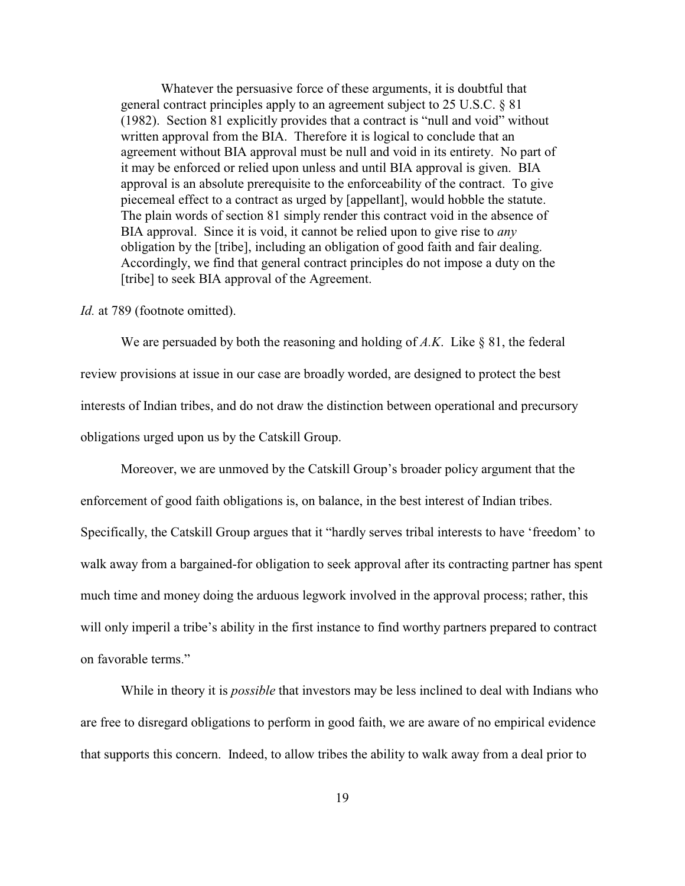Whatever the persuasive force of these arguments, it is doubtful that general contract principles apply to an agreement subject to 25 U.S.C. § 81 (1982). Section 81 explicitly provides that a contract is "null and void" without written approval from the BIA. Therefore it is logical to conclude that an agreement without BIA approval must be null and void in its entirety. No part of it may be enforced or relied upon unless and until BIA approval is given. BIA approval is an absolute prerequisite to the enforceability of the contract. To give piecemeal effect to a contract as urged by [appellant], would hobble the statute. The plain words of section 81 simply render this contract void in the absence of BIA approval. Since it is void, it cannot be relied upon to give rise to *any* obligation by the [tribe], including an obligation of good faith and fair dealing. Accordingly, we find that general contract principles do not impose a duty on the [tribe] to seek BIA approval of the Agreement.

*Id.* at 789 (footnote omitted).

We are persuaded by both the reasoning and holding of *A.K*. Like § 81, the federal review provisions at issue in our case are broadly worded, are designed to protect the best interests of Indian tribes, and do not draw the distinction between operational and precursory obligations urged upon us by the Catskill Group.

Moreover, we are unmoved by the Catskill Group's broader policy argument that the enforcement of good faith obligations is, on balance, in the best interest of Indian tribes. Specifically, the Catskill Group argues that it "hardly serves tribal interests to have 'freedom' to walk away from a bargained-for obligation to seek approval after its contracting partner has spent much time and money doing the arduous legwork involved in the approval process; rather, this will only imperil a tribe's ability in the first instance to find worthy partners prepared to contract on favorable terms."

While in theory it is *possible* that investors may be less inclined to deal with Indians who are free to disregard obligations to perform in good faith, we are aware of no empirical evidence that supports this concern. Indeed, to allow tribes the ability to walk away from a deal prior to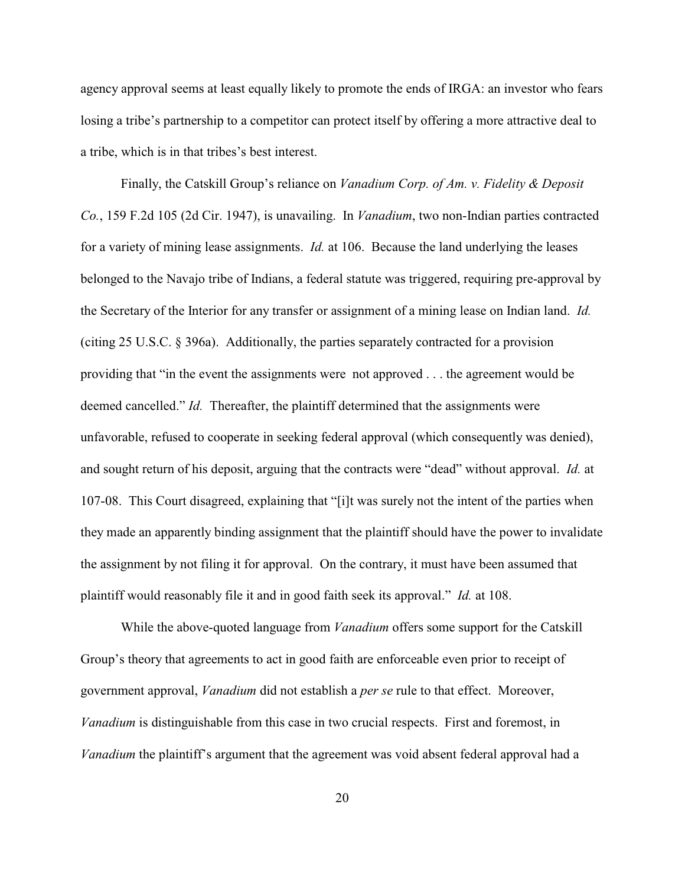agency approval seems at least equally likely to promote the ends of IRGA: an investor who fears losing a tribe's partnership to a competitor can protect itself by offering a more attractive deal to a tribe, which is in that tribes's best interest.

Finally, the Catskill Group's reliance on *Vanadium Corp. of Am. v. Fidelity & Deposit Co.*, 159 F.2d 105 (2d Cir. 1947), is unavailing. In *Vanadium*, two non-Indian parties contracted for a variety of mining lease assignments. *Id.* at 106. Because the land underlying the leases belonged to the Navajo tribe of Indians, a federal statute was triggered, requiring pre-approval by the Secretary of the Interior for any transfer or assignment of a mining lease on Indian land. *Id.* (citing 25 U.S.C. § 396a). Additionally, the parties separately contracted for a provision providing that "in the event the assignments were not approved . . . the agreement would be deemed cancelled." *Id.* Thereafter, the plaintiff determined that the assignments were unfavorable, refused to cooperate in seeking federal approval (which consequently was denied), and sought return of his deposit, arguing that the contracts were "dead" without approval. *Id.* at 107-08. This Court disagreed, explaining that "[i]t was surely not the intent of the parties when they made an apparently binding assignment that the plaintiff should have the power to invalidate the assignment by not filing it for approval. On the contrary, it must have been assumed that plaintiff would reasonably file it and in good faith seek its approval." *Id.* at 108.

While the above-quoted language from *Vanadium* offers some support for the Catskill Group's theory that agreements to act in good faith are enforceable even prior to receipt of government approval, *Vanadium* did not establish a *per se* rule to that effect. Moreover, *Vanadium* is distinguishable from this case in two crucial respects. First and foremost, in *Vanadium* the plaintiff's argument that the agreement was void absent federal approval had a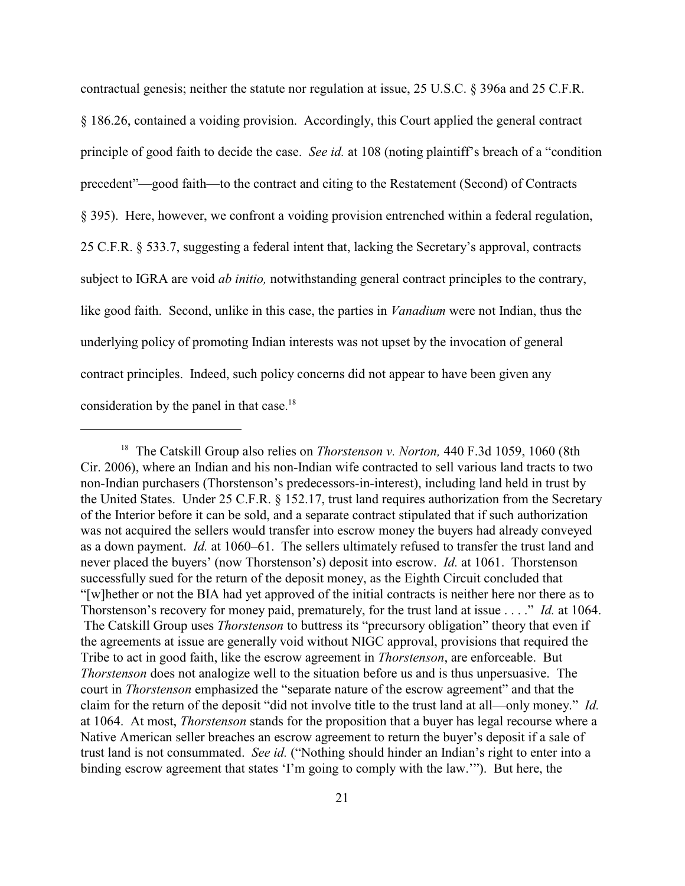contractual genesis; neither the statute nor regulation at issue, 25 U.S.C. § 396a and 25 C.F.R. § 186.26, contained a voiding provision. Accordingly, this Court applied the general contract principle of good faith to decide the case. *See id.* at 108 (noting plaintiff's breach of a "condition precedent"—good faith—to the contract and citing to the Restatement (Second) of Contracts § 395). Here, however, we confront a voiding provision entrenched within a federal regulation, 25 C.F.R. § 533.7, suggesting a federal intent that, lacking the Secretary's approval, contracts subject to IGRA are void *ab initio,* notwithstanding general contract principles to the contrary, like good faith. Second, unlike in this case, the parties in *Vanadium* were not Indian, thus the underlying policy of promoting Indian interests was not upset by the invocation of general contract principles. Indeed, such policy concerns did not appear to have been given any consideration by the panel in that case.<sup>18</sup>

<sup>&</sup>lt;sup>18</sup> The Catskill Group also relies on *Thorstenson v. Norton*, 440 F.3d 1059, 1060 (8th Cir. 2006), where an Indian and his non-Indian wife contracted to sell various land tracts to two non-Indian purchasers (Thorstenson's predecessors-in-interest), including land held in trust by the United States. Under 25 C.F.R. § 152.17, trust land requires authorization from the Secretary of the Interior before it can be sold, and a separate contract stipulated that if such authorization was not acquired the sellers would transfer into escrow money the buyers had already conveyed as a down payment. *Id.* at 1060–61. The sellers ultimately refused to transfer the trust land and never placed the buyers' (now Thorstenson's) deposit into escrow. *Id.* at 1061. Thorstenson successfully sued for the return of the deposit money, as the Eighth Circuit concluded that "[w]hether or not the BIA had yet approved of the initial contracts is neither here nor there as to Thorstenson's recovery for money paid, prematurely, for the trust land at issue . . . ." *Id.* at 1064. The Catskill Group uses *Thorstenson* to buttress its "precursory obligation" theory that even if the agreements at issue are generally void without NIGC approval, provisions that required the Tribe to act in good faith, like the escrow agreement in *Thorstenson*, are enforceable. But *Thorstenson* does not analogize well to the situation before us and is thus unpersuasive. The court in *Thorstenson* emphasized the "separate nature of the escrow agreement" and that the claim for the return of the deposit "did not involve title to the trust land at all—only money." *Id.* at 1064. At most, *Thorstenson* stands for the proposition that a buyer has legal recourse where a Native American seller breaches an escrow agreement to return the buyer's deposit if a sale of trust land is not consummated. *See id.* ("Nothing should hinder an Indian's right to enter into a binding escrow agreement that states 'I'm going to comply with the law.'"). But here, the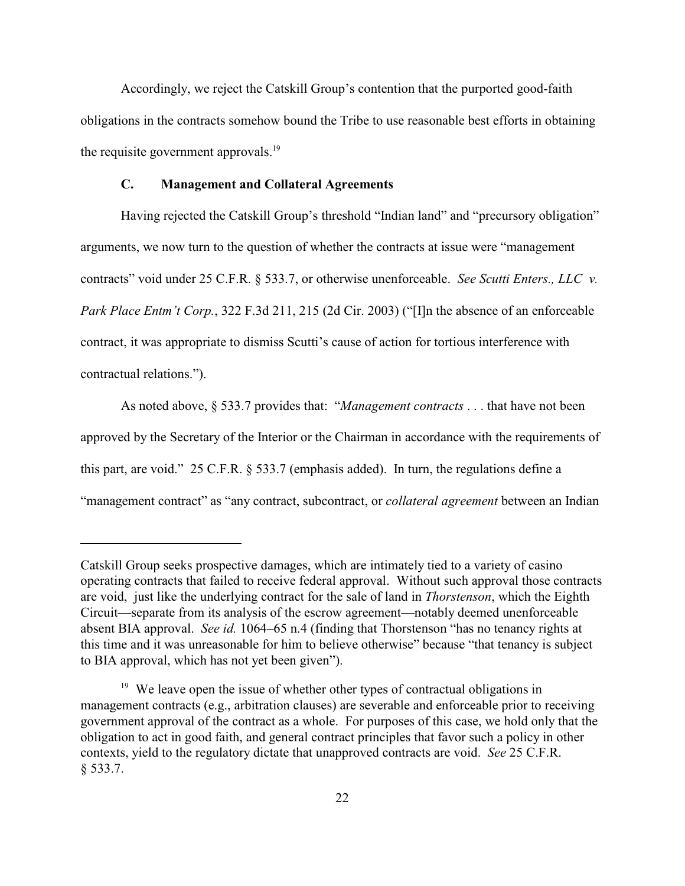Accordingly, we reject the Catskill Group's contention that the purported good-faith obligations in the contracts somehow bound the Tribe to use reasonable best efforts in obtaining the requisite government approvals.<sup>19</sup>

# **C. Management and Collateral Agreements**

Having rejected the Catskill Group's threshold "Indian land" and "precursory obligation" arguments, we now turn to the question of whether the contracts at issue were "management contracts" void under 25 C.F.R. § 533.7, or otherwise unenforceable. *See Scutti Enters., LLC v. Park Place Entm't Corp.*, 322 F.3d 211, 215 (2d Cir. 2003) ("[I]n the absence of an enforceable contract, it was appropriate to dismiss Scutti's cause of action for tortious interference with contractual relations.").

As noted above, § 533.7 provides that: "*Management contracts* . . . that have not been approved by the Secretary of the Interior or the Chairman in accordance with the requirements of this part, are void." 25 C.F.R. § 533.7 (emphasis added). In turn, the regulations define a "management contract" as "any contract, subcontract, or *collateral agreement* between an Indian

Catskill Group seeks prospective damages, which are intimately tied to a variety of casino operating contracts that failed to receive federal approval. Without such approval those contracts are void, just like the underlying contract for the sale of land in *Thorstenson*, which the Eighth Circuit—separate from its analysis of the escrow agreement—notably deemed unenforceable absent BIA approval. *See id.* 1064–65 n.4 (finding that Thorstenson "has no tenancy rights at this time and it was unreasonable for him to believe otherwise" because "that tenancy is subject to BIA approval, which has not yet been given").

 $19$  We leave open the issue of whether other types of contractual obligations in management contracts (e.g., arbitration clauses) are severable and enforceable prior to receiving government approval of the contract as a whole. For purposes of this case, we hold only that the obligation to act in good faith, and general contract principles that favor such a policy in other contexts, yield to the regulatory dictate that unapproved contracts are void. *See* 25 C.F.R. § 533.7.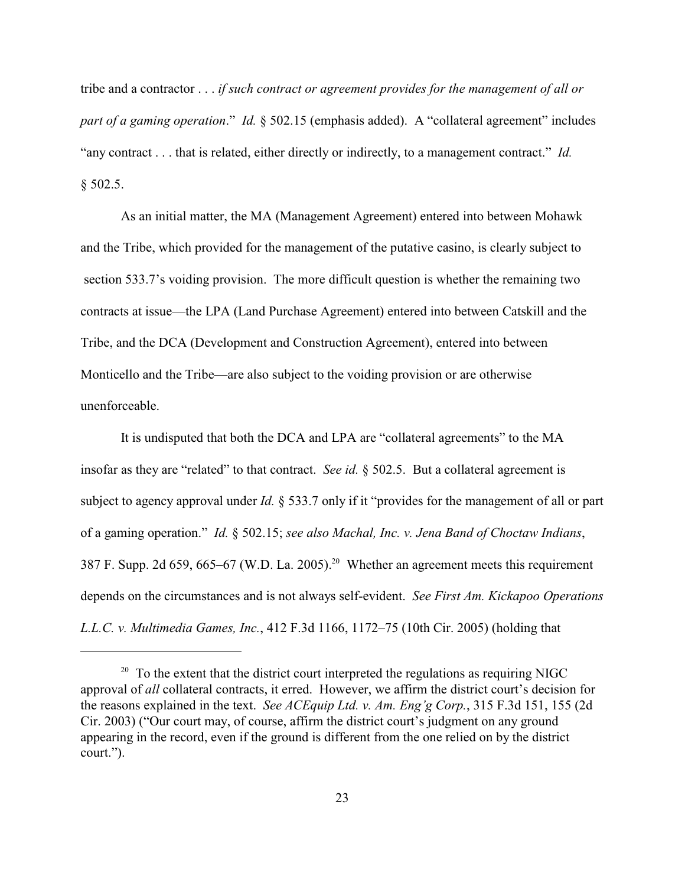tribe and a contractor . . . *if such contract or agreement provides for the management of all or part of a gaming operation*."*Id.* § 502.15 (emphasis added). A "collateral agreement" includes "any contract . . . that is related, either directly or indirectly, to a management contract." *Id.*  $§$  502.5.

As an initial matter, the MA (Management Agreement) entered into between Mohawk and the Tribe, which provided for the management of the putative casino, is clearly subject to section 533.7's voiding provision. The more difficult question is whether the remaining two contracts at issue—the LPA (Land Purchase Agreement) entered into between Catskill and the Tribe, and the DCA (Development and Construction Agreement), entered into between Monticello and the Tribe—are also subject to the voiding provision or are otherwise unenforceable.

It is undisputed that both the DCA and LPA are "collateral agreements" to the MA insofar as they are "related" to that contract. *See id.* § 502.5. But a collateral agreement is subject to agency approval under *Id.* § 533.7 only if it "provides for the management of all or part of a gaming operation." *Id.* § 502.15; *see also Machal, Inc. v. Jena Band of Choctaw Indians*, 387 F. Supp. 2d 659, 665–67 (W.D. La. 2005).<sup>20</sup> Whether an agreement meets this requirement depends on the circumstances and is not always self-evident. *See First Am. Kickapoo Operations L.L.C. v. Multimedia Games, Inc.*, 412 F.3d 1166, 1172–75 (10th Cir. 2005) (holding that

 $20$  To the extent that the district court interpreted the regulations as requiring NIGC approval of *all* collateral contracts, it erred. However, we affirm the district court's decision for the reasons explained in the text. *See ACEquip Ltd. v. Am. Eng'g Corp.*, 315 F.3d 151, 155 (2d Cir. 2003) ("Our court may, of course, affirm the district court's judgment on any ground appearing in the record, even if the ground is different from the one relied on by the district court.").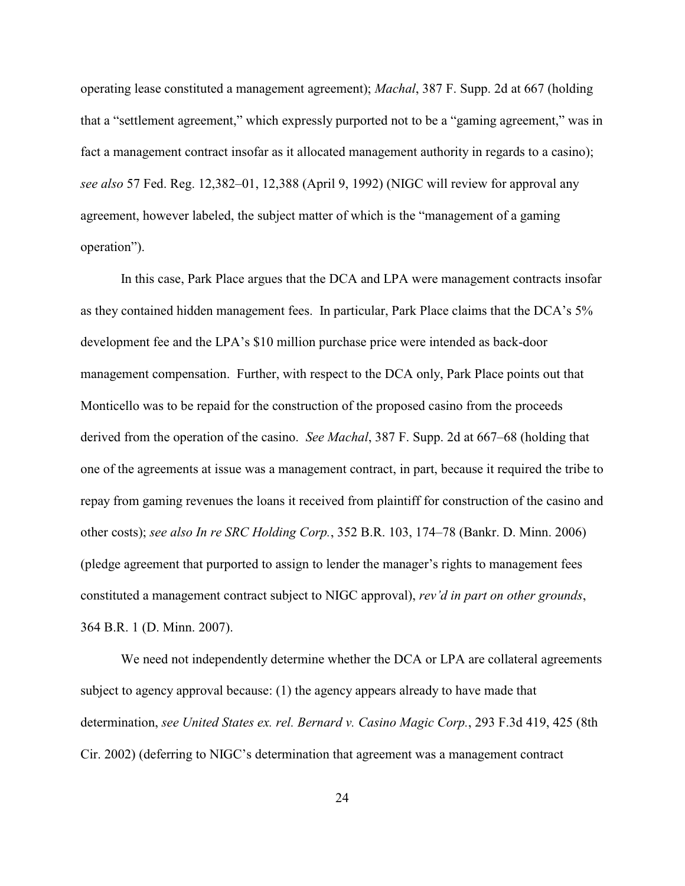operating lease constituted a management agreement); *Machal*, 387 F. Supp. 2d at 667 (holding that a "settlement agreement," which expressly purported not to be a "gaming agreement," was in fact a management contract insofar as it allocated management authority in regards to a casino); *see also* 57 Fed. Reg. 12,382–01, 12,388 (April 9, 1992) (NIGC will review for approval any agreement, however labeled, the subject matter of which is the "management of a gaming operation").

In this case, Park Place argues that the DCA and LPA were management contracts insofar as they contained hidden management fees. In particular, Park Place claims that the DCA's 5% development fee and the LPA's \$10 million purchase price were intended as back-door management compensation. Further, with respect to the DCA only, Park Place points out that Monticello was to be repaid for the construction of the proposed casino from the proceeds derived from the operation of the casino. *See Machal*, 387 F. Supp. 2d at 667–68 (holding that one of the agreements at issue was a management contract, in part, because it required the tribe to repay from gaming revenues the loans it received from plaintiff for construction of the casino and other costs); *see also In re SRC Holding Corp.*, 352 B.R. 103, 174–78 (Bankr. D. Minn. 2006) (pledge agreement that purported to assign to lender the manager's rights to management fees constituted a management contract subject to NIGC approval), *rev'd in part on other grounds*, 364 B.R. 1 (D. Minn. 2007).

We need not independently determine whether the DCA or LPA are collateral agreements subject to agency approval because: (1) the agency appears already to have made that determination, *see United States ex. rel. Bernard v. Casino Magic Corp.*, 293 F.3d 419, 425 (8th Cir. 2002) (deferring to NIGC's determination that agreement was a management contract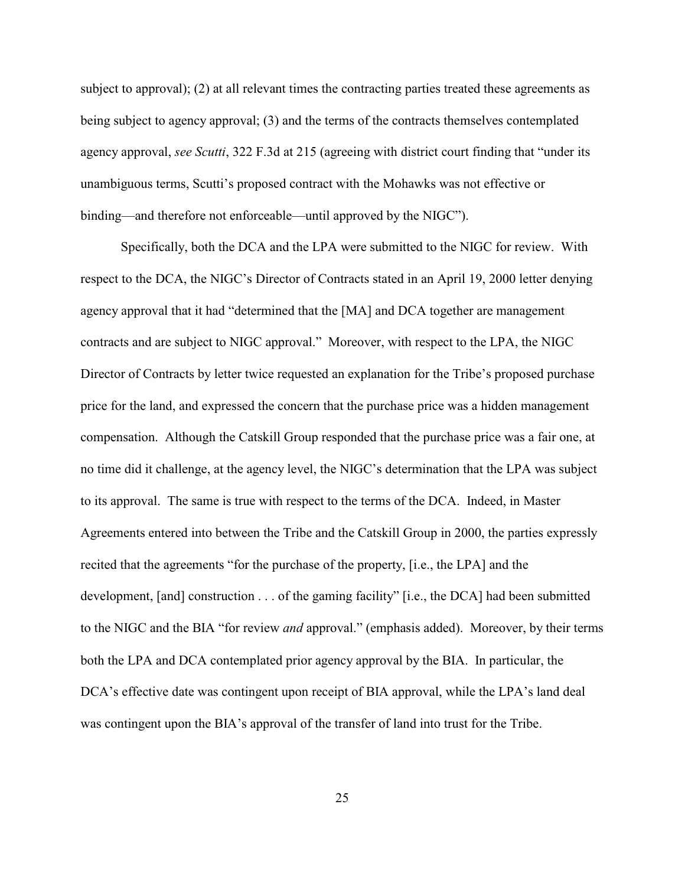subject to approval); (2) at all relevant times the contracting parties treated these agreements as being subject to agency approval; (3) and the terms of the contracts themselves contemplated agency approval, *see Scutti*, 322 F.3d at 215 (agreeing with district court finding that "under its unambiguous terms, Scutti's proposed contract with the Mohawks was not effective or binding—and therefore not enforceable—until approved by the NIGC").

Specifically, both the DCA and the LPA were submitted to the NIGC for review. With respect to the DCA, the NIGC's Director of Contracts stated in an April 19, 2000 letter denying agency approval that it had "determined that the [MA] and DCA together are management contracts and are subject to NIGC approval." Moreover, with respect to the LPA, the NIGC Director of Contracts by letter twice requested an explanation for the Tribe's proposed purchase price for the land, and expressed the concern that the purchase price was a hidden management compensation. Although the Catskill Group responded that the purchase price was a fair one, at no time did it challenge, at the agency level, the NIGC's determination that the LPA was subject to its approval.The same is true with respect to the terms of the DCA. Indeed, in Master Agreements entered into between the Tribe and the Catskill Group in 2000, the parties expressly recited that the agreements "for the purchase of the property, [i.e., the LPA] and the development, [and] construction . . . of the gaming facility" [i.e., the DCA] had been submitted to the NIGC and the BIA "for review *and* approval." (emphasis added). Moreover, by their terms both the LPA and DCA contemplated prior agency approval by the BIA. In particular, the DCA's effective date was contingent upon receipt of BIA approval, while the LPA's land deal was contingent upon the BIA's approval of the transfer of land into trust for the Tribe.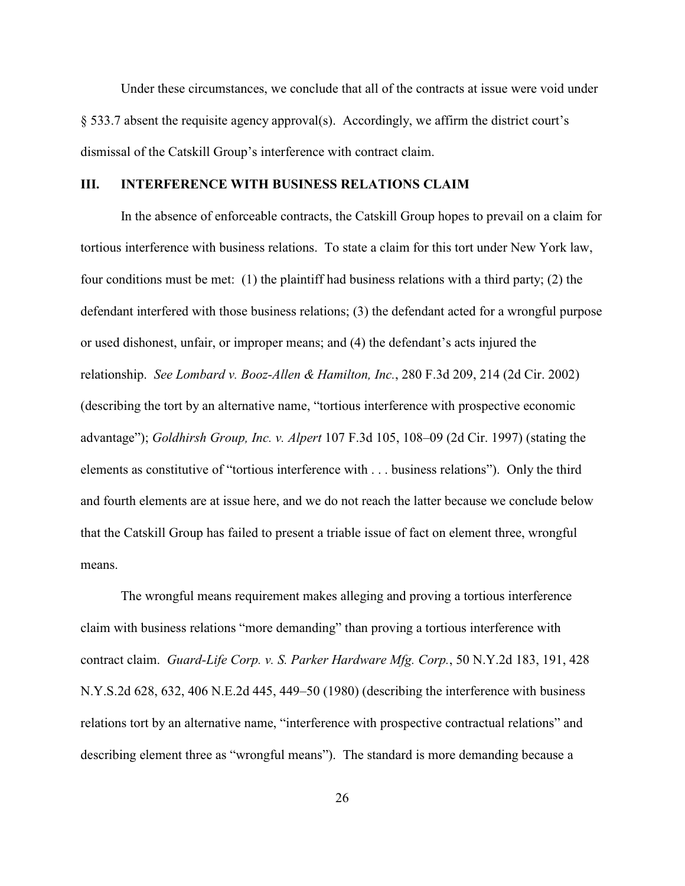Under these circumstances, we conclude that all of the contracts at issue were void under § 533.7 absent the requisite agency approval(s). Accordingly, we affirm the district court's dismissal of the Catskill Group's interference with contract claim.

# **III. INTERFERENCE WITH BUSINESS RELATIONS CLAIM**

In the absence of enforceable contracts, the Catskill Group hopes to prevail on a claim for tortious interference with business relations. To state a claim for this tort under New York law, four conditions must be met: (1) the plaintiff had business relations with a third party; (2) the defendant interfered with those business relations; (3) the defendant acted for a wrongful purpose or used dishonest, unfair, or improper means; and (4) the defendant's acts injured the relationship. *See Lombard v. Booz-Allen & Hamilton, Inc.*, 280 F.3d 209, 214 (2d Cir. 2002) (describing the tort by an alternative name, "tortious interference with prospective economic advantage"); *Goldhirsh Group, Inc. v. Alpert* 107 F.3d 105, 108–09 (2d Cir. 1997) (stating the elements as constitutive of "tortious interference with . . . business relations"). Only the third and fourth elements are at issue here, and we do not reach the latter because we conclude below that the Catskill Group has failed to present a triable issue of fact on element three, wrongful means.

The wrongful means requirement makes alleging and proving a tortious interference claim with business relations "more demanding" than proving a tortious interference with contract claim. *Guard-Life Corp. v. S. Parker Hardware Mfg. Corp.*, 50 N.Y.2d 183, 191, 428 N.Y.S.2d 628, 632, 406 N.E.2d 445, 449–50 (1980) (describing the interference with business relations tort by an alternative name, "interference with prospective contractual relations" and describing element three as "wrongful means"). The standard is more demanding because a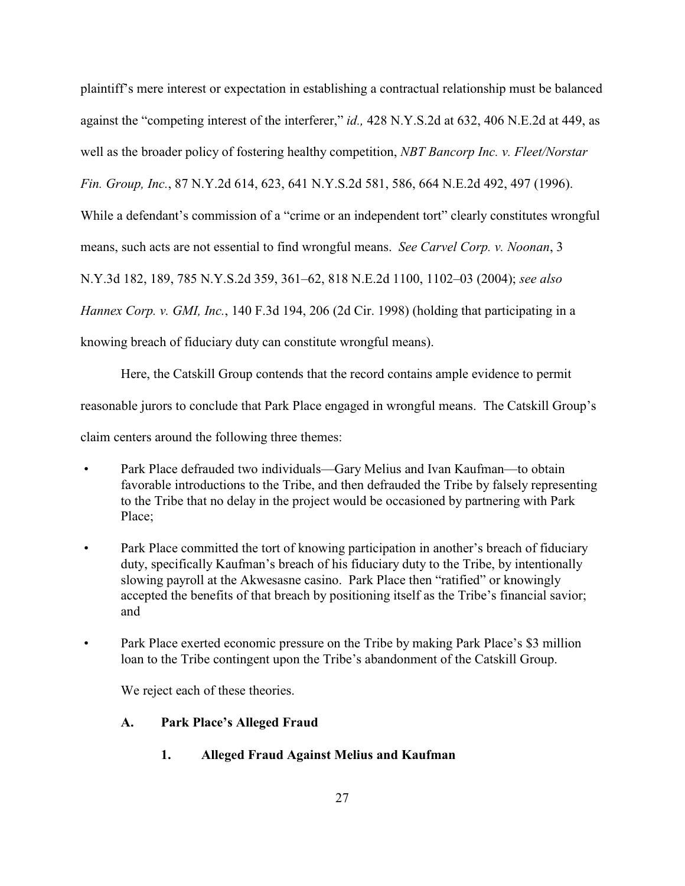plaintiff's mere interest or expectation in establishing a contractual relationship must be balanced against the "competing interest of the interferer," *id.,* 428 N.Y.S.2d at 632, 406 N.E.2d at 449, as well as the broader policy of fostering healthy competition, *NBT Bancorp Inc. v. Fleet/Norstar Fin. Group, Inc.*, 87 N.Y.2d 614, 623, 641 N.Y.S.2d 581, 586, 664 N.E.2d 492, 497 (1996). While a defendant's commission of a "crime or an independent tort" clearly constitutes wrongful means, such acts are not essential to find wrongful means. *See Carvel Corp. v. Noonan*, 3 N.Y.3d 182, 189, 785 N.Y.S.2d 359, 361–62, 818 N.E.2d 1100, 1102–03 (2004); *see also Hannex Corp. v. GMI, Inc.*, 140 F.3d 194, 206 (2d Cir. 1998) (holding that participating in a knowing breach of fiduciary duty can constitute wrongful means).

Here, the Catskill Group contends that the record contains ample evidence to permit reasonable jurors to conclude that Park Place engaged in wrongful means. The Catskill Group's claim centers around the following three themes:

- Park Place defrauded two individuals—Gary Melius and Ivan Kaufman—to obtain favorable introductions to the Tribe, and then defrauded the Tribe by falsely representing to the Tribe that no delay in the project would be occasioned by partnering with Park Place;
- Park Place committed the tort of knowing participation in another's breach of fiduciary duty, specifically Kaufman's breach of his fiduciary duty to the Tribe, by intentionally slowing payroll at the Akwesasne casino. Park Place then "ratified" or knowingly accepted the benefits of that breach by positioning itself as the Tribe's financial savior; and
- Park Place exerted economic pressure on the Tribe by making Park Place's \$3 million loan to the Tribe contingent upon the Tribe's abandonment of the Catskill Group.

We reject each of these theories.

# **A. Park Place's Alleged Fraud**

**1. Alleged Fraud Against Melius and Kaufman**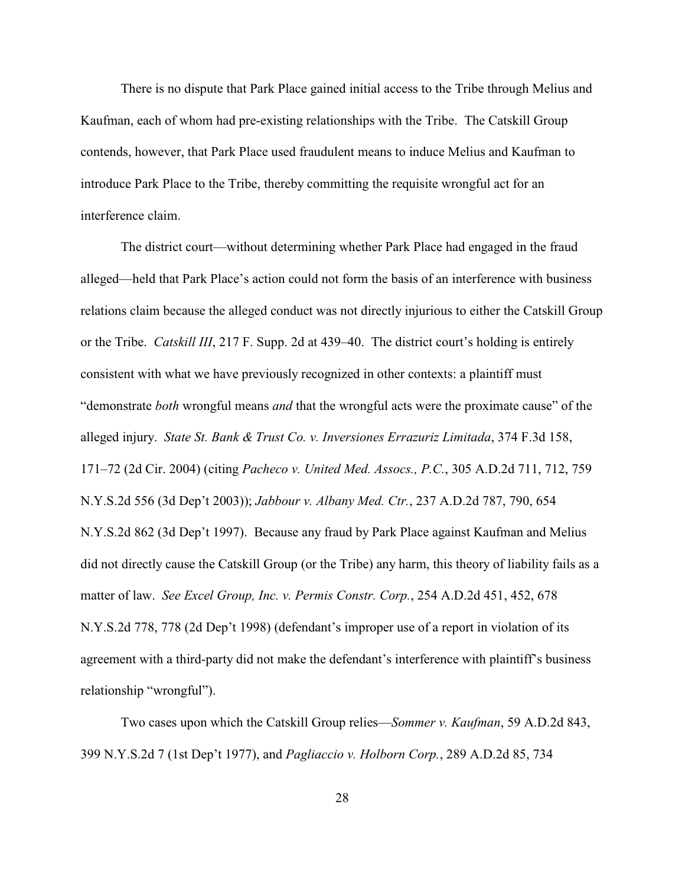There is no dispute that Park Place gained initial access to the Tribe through Melius and Kaufman, each of whom had pre-existing relationships with the Tribe. The Catskill Group contends, however, that Park Place used fraudulent means to induce Melius and Kaufman to introduce Park Place to the Tribe, thereby committing the requisite wrongful act for an interference claim.

The district court—without determining whether Park Place had engaged in the fraud alleged—held that Park Place's action could not form the basis of an interference with business relations claim because the alleged conduct was not directly injurious to either the Catskill Group or the Tribe. *Catskill III*, 217 F. Supp. 2d at 439–40. The district court's holding is entirely consistent with what we have previously recognized in other contexts: a plaintiff must "demonstrate *both* wrongful means *and* that the wrongful acts were the proximate cause" of the alleged injury. *State St. Bank & Trust Co. v. Inversiones Errazuriz Limitada*, 374 F.3d 158, 171–72 (2d Cir. 2004) (citing *Pacheco v. United Med. Assocs., P.C.*, 305 A.D.2d 711, 712, 759 N.Y.S.2d 556 (3d Dep't 2003)); *Jabbour v. Albany Med. Ctr.*, 237 A.D.2d 787, 790, 654 N.Y.S.2d 862 (3d Dep't 1997). Because any fraud by Park Place against Kaufman and Melius did not directly cause the Catskill Group (or the Tribe) any harm, this theory of liability fails as a matter of law. *See Excel Group, Inc. v. Permis Constr. Corp.*, 254 A.D.2d 451, 452, 678 N.Y.S.2d 778, 778 (2d Dep't 1998) (defendant's improper use of a report in violation of its agreement with a third-party did not make the defendant's interference with plaintiff's business relationship "wrongful").

Two cases upon which the Catskill Group relies—*Sommer v. Kaufman*, 59 A.D.2d 843, 399 N.Y.S.2d 7 (1st Dep't 1977), and *Pagliaccio v. Holborn Corp.*, 289 A.D.2d 85, 734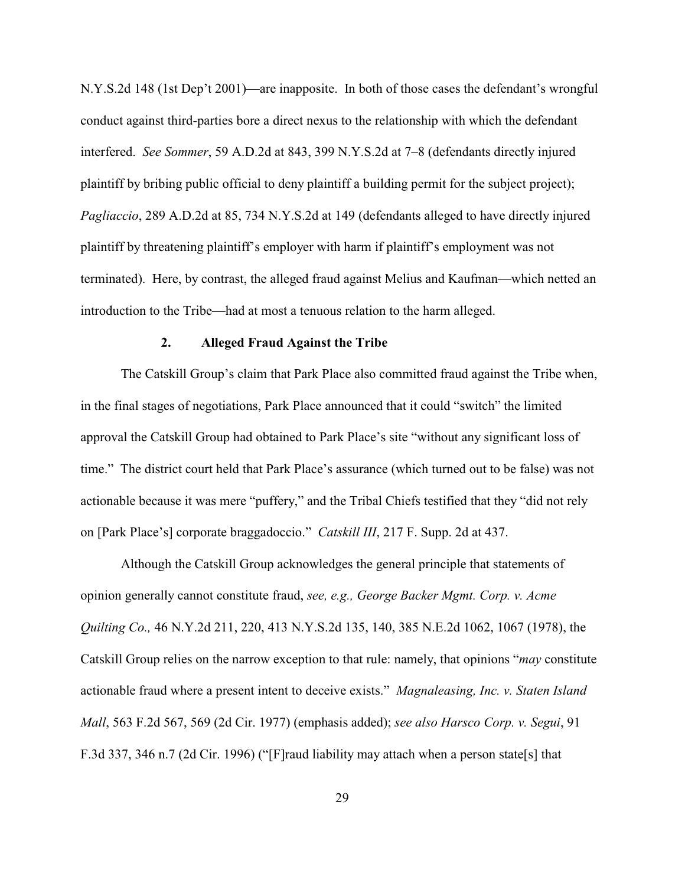N.Y.S.2d 148 (1st Dep't 2001)—are inapposite. In both of those cases the defendant's wrongful conduct against third-parties bore a direct nexus to the relationship with which the defendant interfered. *See Sommer*, 59 A.D.2d at 843, 399 N.Y.S.2d at 7–8 (defendants directly injured plaintiff by bribing public official to deny plaintiff a building permit for the subject project); *Pagliaccio*, 289 A.D.2d at 85, 734 N.Y.S.2d at 149 (defendants alleged to have directly injured plaintiff by threatening plaintiff's employer with harm if plaintiff's employment was not terminated). Here, by contrast, the alleged fraud against Melius and Kaufman—which netted an introduction to the Tribe—had at most a tenuous relation to the harm alleged.

#### **2. Alleged Fraud Against the Tribe**

The Catskill Group's claim that Park Place also committed fraud against the Tribe when, in the final stages of negotiations, Park Place announced that it could "switch" the limited approval the Catskill Group had obtained to Park Place's site "without any significant loss of time." The district court held that Park Place's assurance (which turned out to be false) was not actionable because it was mere "puffery," and the Tribal Chiefs testified that they "did not rely on [Park Place's] corporate braggadoccio." *Catskill III*, 217 F. Supp. 2d at 437.

Although the Catskill Group acknowledges the general principle that statements of opinion generally cannot constitute fraud, *see, e.g., George Backer Mgmt. Corp. v. Acme Quilting Co.,* 46 N.Y.2d 211, 220, 413 N.Y.S.2d 135, 140, 385 N.E.2d 1062, 1067 (1978), the Catskill Group relies on the narrow exception to that rule: namely, that opinions "*may* constitute actionable fraud where a present intent to deceive exists." *Magnaleasing, Inc. v. Staten Island Mall*, 563 F.2d 567, 569 (2d Cir. 1977) (emphasis added); *see also Harsco Corp. v. Segui*, 91 F.3d 337, 346 n.7 (2d Cir. 1996) ("[F]raud liability may attach when a person state[s] that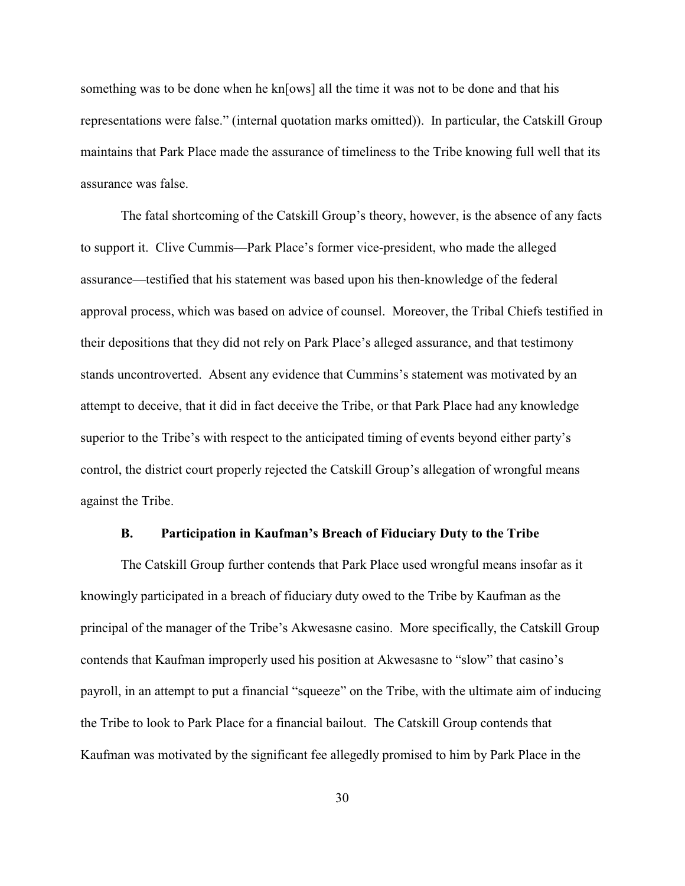something was to be done when he kn[ows] all the time it was not to be done and that his representations were false." (internal quotation marks omitted)). In particular, the Catskill Group maintains that Park Place made the assurance of timeliness to the Tribe knowing full well that its assurance was false.

The fatal shortcoming of the Catskill Group's theory, however, is the absence of any facts to support it. Clive Cummis—Park Place's former vice-president, who made the alleged assurance—testified that his statement was based upon his then-knowledge of the federal approval process, which was based on advice of counsel. Moreover, the Tribal Chiefs testified in their depositions that they did not rely on Park Place's alleged assurance, and that testimony stands uncontroverted. Absent any evidence that Cummins's statement was motivated by an attempt to deceive, that it did in fact deceive the Tribe, or that Park Place had any knowledge superior to the Tribe's with respect to the anticipated timing of events beyond either party's control, the district court properly rejected the Catskill Group's allegation of wrongful means against the Tribe.

#### **B. Participation in Kaufman's Breach of Fiduciary Duty to the Tribe**

The Catskill Group further contends that Park Place used wrongful means insofar as it knowingly participated in a breach of fiduciary duty owed to the Tribe by Kaufman as the principal of the manager of the Tribe's Akwesasne casino. More specifically, the Catskill Group contends that Kaufman improperly used his position at Akwesasne to "slow" that casino's payroll, in an attempt to put a financial "squeeze" on the Tribe, with the ultimate aim of inducing the Tribe to look to Park Place for a financial bailout. The Catskill Group contends that Kaufman was motivated by the significant fee allegedly promised to him by Park Place in the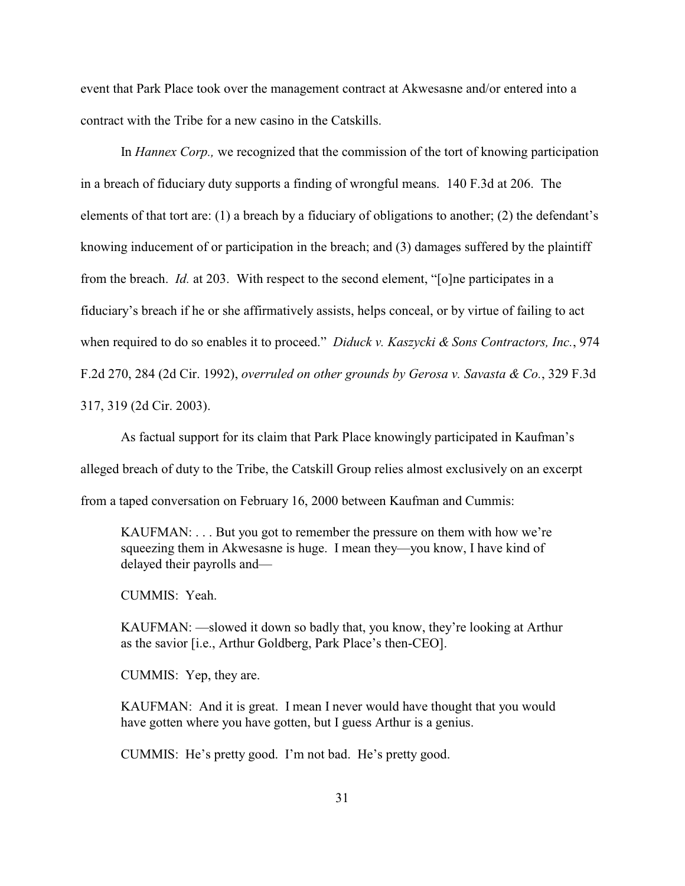event that Park Place took over the management contract at Akwesasne and/or entered into a contract with the Tribe for a new casino in the Catskills.

In *Hannex Corp.,* we recognized that the commission of the tort of knowing participation in a breach of fiduciary duty supports a finding of wrongful means. 140 F.3d at 206. The elements of that tort are: (1) a breach by a fiduciary of obligations to another; (2) the defendant's knowing inducement of or participation in the breach; and (3) damages suffered by the plaintiff from the breach. *Id.* at 203. With respect to the second element, "[o]ne participates in a fiduciary's breach if he or she affirmatively assists, helps conceal, or by virtue of failing to act when required to do so enables it to proceed." *Diduck v. Kaszycki & Sons Contractors, Inc.*, 974 F.2d 270, 284 (2d Cir. 1992), *overruled on other grounds by Gerosa v. Savasta & Co.*, 329 F.3d 317, 319 (2d Cir. 2003).

As factual support for its claim that Park Place knowingly participated in Kaufman's alleged breach of duty to the Tribe, the Catskill Group relies almost exclusively on an excerpt from a taped conversation on February 16, 2000 between Kaufman and Cummis:

KAUFMAN: . . . But you got to remember the pressure on them with how we're squeezing them in Akwesasne is huge. I mean they—you know, I have kind of delayed their payrolls and—

CUMMIS: Yeah.

KAUFMAN: —slowed it down so badly that, you know, they're looking at Arthur as the savior [i.e., Arthur Goldberg, Park Place's then-CEO].

CUMMIS: Yep, they are.

KAUFMAN: And it is great. I mean I never would have thought that you would have gotten where you have gotten, but I guess Arthur is a genius.

CUMMIS: He's pretty good. I'm not bad. He's pretty good.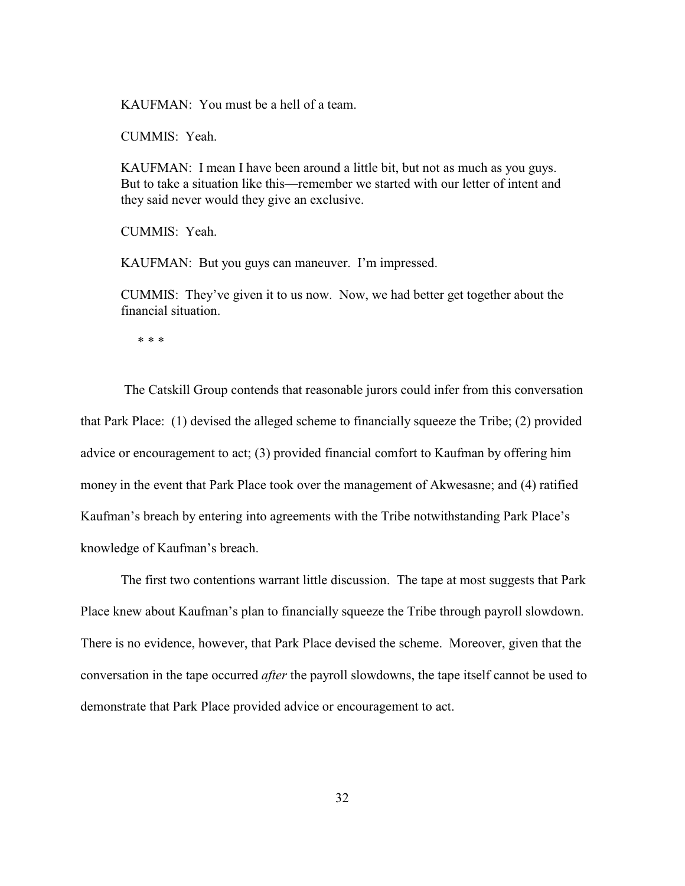KAUFMAN: You must be a hell of a team.

CUMMIS: Yeah.

KAUFMAN: I mean I have been around a little bit, but not as much as you guys. But to take a situation like this—remember we started with our letter of intent and they said never would they give an exclusive.

CUMMIS: Yeah.

KAUFMAN: But you guys can maneuver. I'm impressed.

CUMMIS: They've given it to us now. Now, we had better get together about the financial situation.

\* \* \*

 The Catskill Group contends that reasonable jurors could infer from this conversation that Park Place: (1) devised the alleged scheme to financially squeeze the Tribe; (2) provided advice or encouragement to act; (3) provided financial comfort to Kaufman by offering him money in the event that Park Place took over the management of Akwesasne; and (4) ratified Kaufman's breach by entering into agreements with the Tribe notwithstanding Park Place's knowledge of Kaufman's breach.

The first two contentions warrant little discussion. The tape at most suggests that Park Place knew about Kaufman's plan to financially squeeze the Tribe through payroll slowdown. There is no evidence, however, that Park Place devised the scheme. Moreover, given that the conversation in the tape occurred *after* the payroll slowdowns, the tape itself cannot be used to demonstrate that Park Place provided advice or encouragement to act.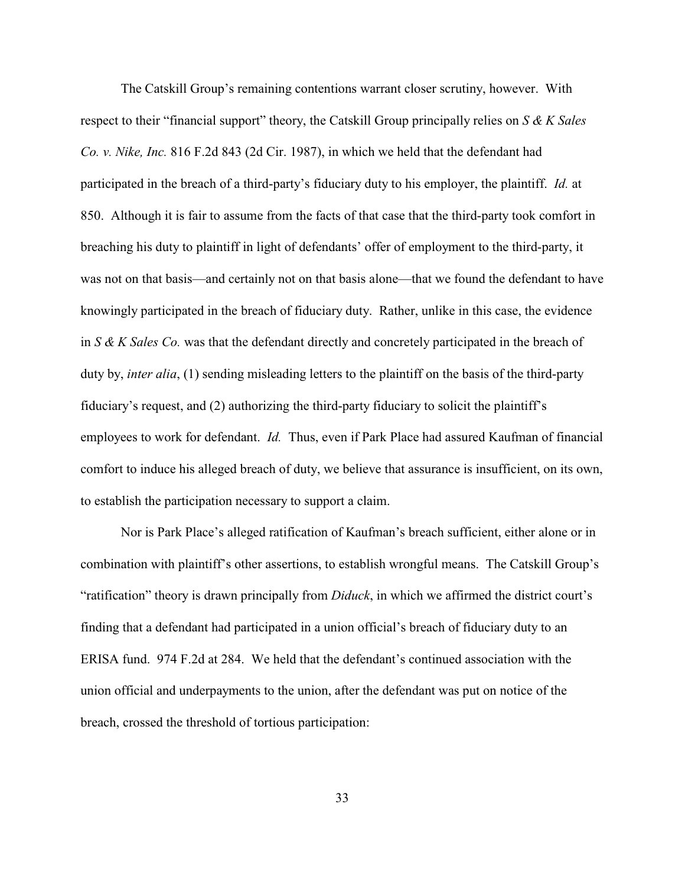The Catskill Group's remaining contentions warrant closer scrutiny, however. With respect to their "financial support" theory, the Catskill Group principally relies on *S & K Sales Co. v. Nike, Inc.* 816 F.2d 843 (2d Cir. 1987), in which we held that the defendant had participated in the breach of a third-party's fiduciary duty to his employer, the plaintiff. *Id.* at 850. Although it is fair to assume from the facts of that case that the third-party took comfort in breaching his duty to plaintiff in light of defendants' offer of employment to the third-party, it was not on that basis—and certainly not on that basis alone—that we found the defendant to have knowingly participated in the breach of fiduciary duty. Rather, unlike in this case, the evidence in *S & K Sales Co.* was that the defendant directly and concretely participated in the breach of duty by, *inter alia*, (1) sending misleading letters to the plaintiff on the basis of the third-party fiduciary's request, and (2) authorizing the third-party fiduciary to solicit the plaintiff's employees to work for defendant. *Id.* Thus, even if Park Place had assured Kaufman of financial comfort to induce his alleged breach of duty, we believe that assurance is insufficient, on its own, to establish the participation necessary to support a claim.

Nor is Park Place's alleged ratification of Kaufman's breach sufficient, either alone or in combination with plaintiff's other assertions, to establish wrongful means. The Catskill Group's "ratification" theory is drawn principally from *Diduck*, in which we affirmed the district court's finding that a defendant had participated in a union official's breach of fiduciary duty to an ERISA fund. 974 F.2d at 284. We held that the defendant's continued association with the union official and underpayments to the union, after the defendant was put on notice of the breach, crossed the threshold of tortious participation: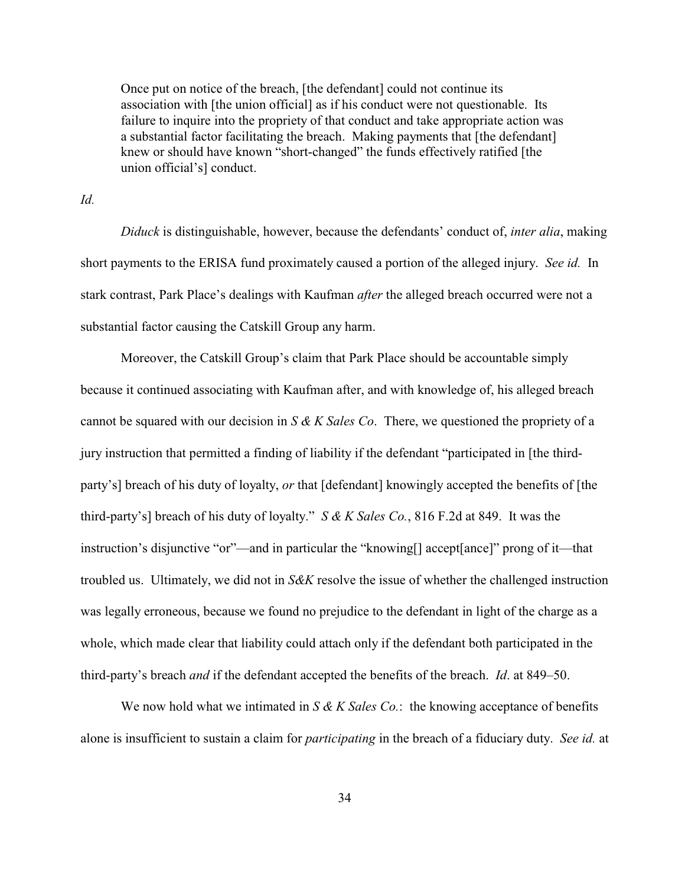Once put on notice of the breach, [the defendant] could not continue its association with [the union official] as if his conduct were not questionable. Its failure to inquire into the propriety of that conduct and take appropriate action was a substantial factor facilitating the breach. Making payments that [the defendant] knew or should have known "short-changed" the funds effectively ratified [the union official's] conduct.

*Id.*

*Diduck* is distinguishable, however, because the defendants' conduct of, *inter alia*, making short payments to the ERISA fund proximately caused a portion of the alleged injury. *See id.* In stark contrast, Park Place's dealings with Kaufman *after* the alleged breach occurred were not a substantial factor causing the Catskill Group any harm.

Moreover, the Catskill Group's claim that Park Place should be accountable simply because it continued associating with Kaufman after, and with knowledge of, his alleged breach cannot be squared with our decision in *S & K Sales Co*. There, we questioned the propriety of a jury instruction that permitted a finding of liability if the defendant "participated in [the thirdparty's] breach of his duty of loyalty, *or* that [defendant] knowingly accepted the benefits of [the third-party's] breach of his duty of loyalty." *S & K Sales Co.*, 816 F.2d at 849. It was the instruction's disjunctive "or"—and in particular the "knowing[] accept[ance]" prong of it—that troubled us. Ultimately, we did not in *S&K* resolve the issue of whether the challenged instruction was legally erroneous, because we found no prejudice to the defendant in light of the charge as a whole, which made clear that liability could attach only if the defendant both participated in the third-party's breach *and* if the defendant accepted the benefits of the breach. *Id*. at 849–50.

We now hold what we intimated in *S & K Sales Co.*: the knowing acceptance of benefits alone is insufficient to sustain a claim for *participating* in the breach of a fiduciary duty. *See id.* at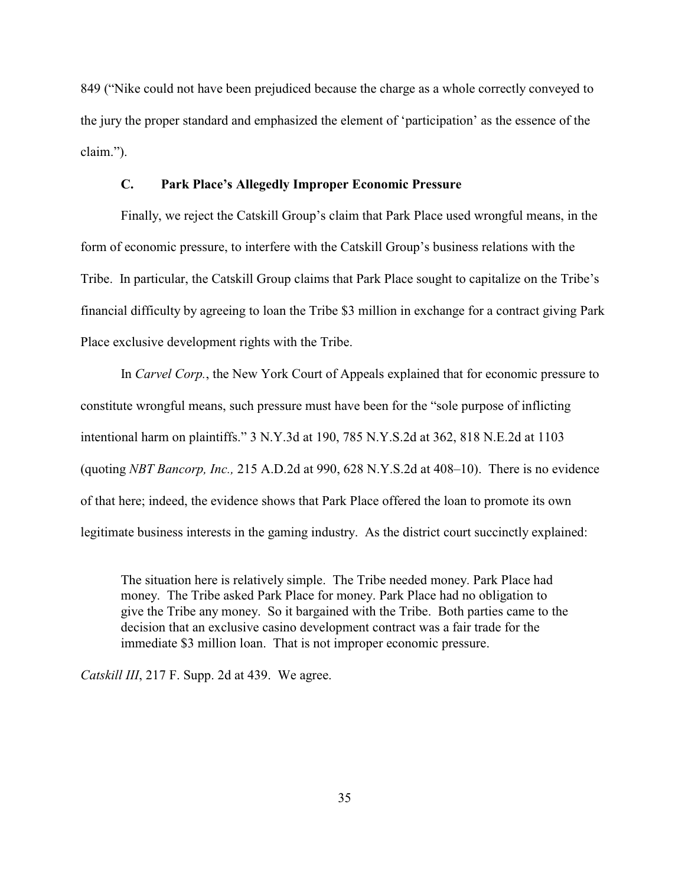849 ("Nike could not have been prejudiced because the charge as a whole correctly conveyed to the jury the proper standard and emphasized the element of 'participation' as the essence of the claim.").

## **C. Park Place's Allegedly Improper Economic Pressure**

Finally, we reject the Catskill Group's claim that Park Place used wrongful means, in the form of economic pressure, to interfere with the Catskill Group's business relations with the Tribe. In particular, the Catskill Group claims that Park Place sought to capitalize on the Tribe's financial difficulty by agreeing to loan the Tribe \$3 million in exchange for a contract giving Park Place exclusive development rights with the Tribe.

In *Carvel Corp.*, the New York Court of Appeals explained that for economic pressure to constitute wrongful means, such pressure must have been for the "sole purpose of inflicting intentional harm on plaintiffs." 3 N.Y.3d at 190, 785 N.Y.S.2d at 362, 818 N.E.2d at 1103 (quoting *NBT Bancorp, Inc.,* 215 A.D.2d at 990, 628 N.Y.S.2d at 408–10). There is no evidence of that here; indeed, the evidence shows that Park Place offered the loan to promote its own legitimate business interests in the gaming industry. As the district court succinctly explained:

The situation here is relatively simple. The Tribe needed money. Park Place had money. The Tribe asked Park Place for money. Park Place had no obligation to give the Tribe any money. So it bargained with the Tribe. Both parties came to the decision that an exclusive casino development contract was a fair trade for the immediate \$3 million loan. That is not improper economic pressure.

*Catskill III*, 217 F. Supp. 2d at 439. We agree.